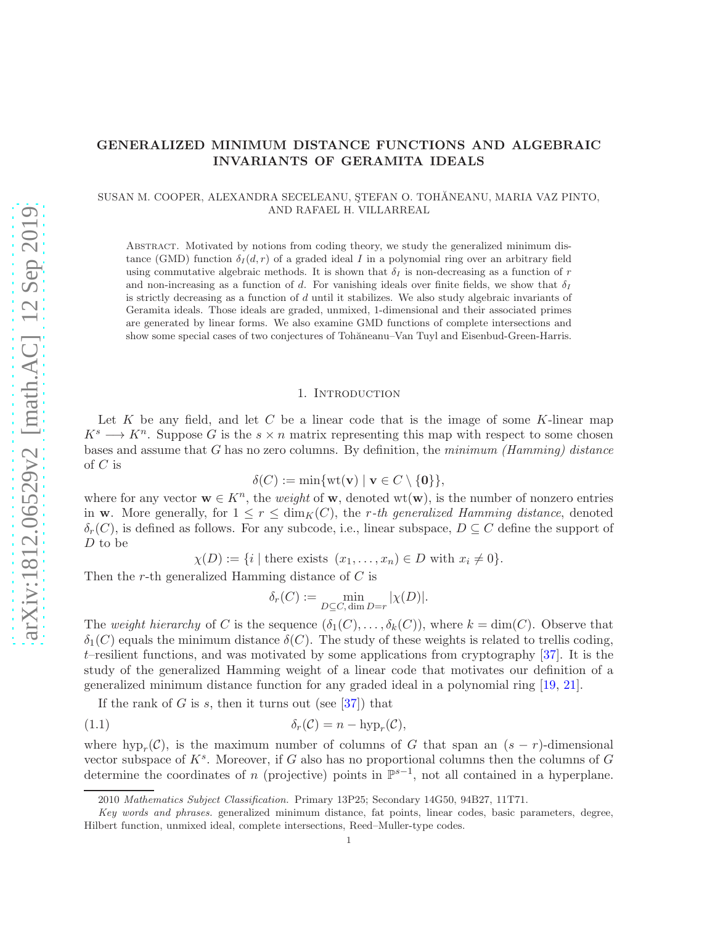# GENERALIZED MINIMUM DISTANCE FUNCTIONS AND ALGEBRAIC INVARIANTS OF GERAMITA IDEALS

# SUSAN M. COOPER, ALEXANDRA SECELEANU, STEFAN O. TOHĂNEANU, MARIA VAZ PINTO, AND RAFAEL H. VILLARREAL

Abstract. Motivated by notions from coding theory, we study the generalized minimum distance (GMD) function  $\delta_I(d, r)$  of a graded ideal I in a polynomial ring over an arbitrary field using commutative algebraic methods. It is shown that  $\delta_I$  is non-decreasing as a function of r and non-increasing as a function of d. For vanishing ideals over finite fields, we show that  $\delta_I$ is strictly decreasing as a function of  $d$  until it stabilizes. We also study algebraic invariants of Geramita ideals. Those ideals are graded, unmixed, 1-dimensional and their associated primes are generated by linear forms. We also examine GMD functions of complete intersections and show some special cases of two conjectures of Tohăneanu–Van Tuyl and Eisenbud-Green-Harris.

#### 1. Introduction

<span id="page-0-1"></span>Let  $K$  be any field, and let  $C$  be a linear code that is the image of some  $K$ -linear map  $K^s \longrightarrow K^n$ . Suppose G is the  $s \times n$  matrix representing this map with respect to some chosen bases and assume that G has no zero columns. By definition, the *minimum (Hamming) distance* of  $C$  is

$$
\delta(C) := \min\{\text{wt}(\mathbf{v}) \mid \mathbf{v} \in C \setminus \{\mathbf{0}\}\},\
$$

where for any vector  $\mathbf{w} \in K^n$ , the *weight* of  $\mathbf{w}$ , denoted wt( $\mathbf{w}$ ), is the number of nonzero entries in w. More generally, for  $1 \leq r \leq \dim_K(C)$ , the r-th generalized Hamming distance, denoted  $\delta_r(C)$ , is defined as follows. For any subcode, i.e., linear subspace,  $D \subseteq C$  define the support of D to be

$$
\chi(D) := \{i \mid \text{there exists } (x_1, \dots, x_n) \in D \text{ with } x_i \neq 0\}.
$$

Then the r-th generalized Hamming distance of C is

<span id="page-0-0"></span>
$$
\delta_r(C) := \min_{D \subseteq C, \dim D = r} |\chi(D)|.
$$

The *weight hierarchy* of C is the sequence  $(\delta_1(C), \ldots, \delta_k(C))$ , where  $k = \dim(C)$ . Observe that  $\delta_1(C)$  equals the minimum distance  $\delta(C)$ . The study of these weights is related to trellis coding,  $t$ –resilient functions, and was motivated by some applications from cryptography  $[37]$ . It is the study of the generalized Hamming weight of a linear code that motivates our definition of a generalized minimum distance function for any graded ideal in a polynomial ring [\[19,](#page-24-0) [21\]](#page-24-1).

If the rank of G is s, then it turns out (see  $[37]$ ) that

$$
\delta_r(\mathcal{C}) = n - \text{hyp}_r(\mathcal{C}),
$$

where  $hyp_r(\mathcal{C})$ , is the maximum number of columns of G that span an  $(s - r)$ -dimensional vector subspace of  $K^s$ . Moreover, if G also has no proportional columns then the columns of G determine the coordinates of n (projective) points in  $\mathbb{P}^{s-1}$ , not all contained in a hyperplane.

<sup>2010</sup> *Mathematics Subject Classification.* Primary 13P25; Secondary 14G50, 94B27, 11T71.

*Key words and phrases.* generalized minimum distance, fat points, linear codes, basic parameters, degree, Hilbert function, unmixed ideal, complete intersections, Reed–Muller-type codes.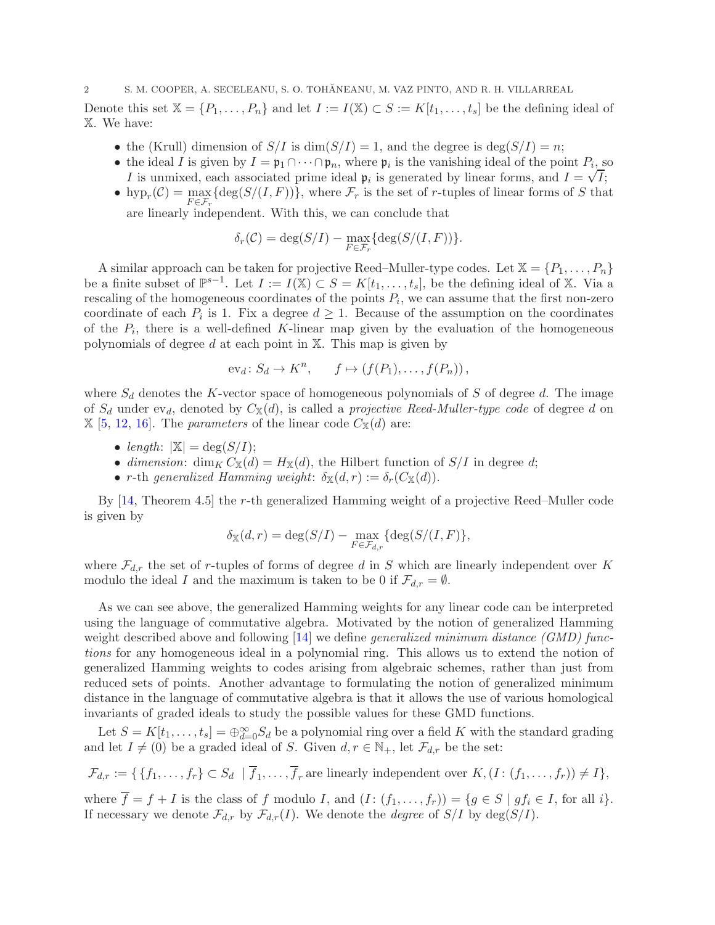Denote this set  $X = \{P_1, \ldots, P_n\}$  and let  $I := I(X) \subset S := K[t_1, \ldots, t_s]$  be the defining ideal of X. We have:

- the (Krull) dimension of  $S/I$  is  $\dim(S/I) = 1$ , and the degree is  $\deg(S/I) = n$ ;
- the ideal I is given by  $I = \mathfrak{p}_1 \cap \cdots \cap \mathfrak{p}_n$ , where  $\mathfrak{p}_i$  is the vanishing ideal of the point  $P_i$ , so I is unmixed, each associated prime ideal  $\mathfrak{p}_i$  is generated by linear forms, and  $I = \sqrt{I}$ ;
- hyp<sub>r</sub>(C) =  $\max_{F \in \mathcal{F}_r} {\deg(S/(I, F))}$ , where  $\mathcal{F}_r$  is the set of r-tuples of linear forms of S that are linearly independent. With this, we can conclude that

$$
\delta_r(\mathcal{C}) = \deg(S/I) - \max_{F \in \mathcal{F}_r} \{ \deg(S/(I, F)) \}.
$$

A similar approach can be taken for projective Reed–Muller-type codes. Let  $\mathbb{X} = \{P_1, \ldots, P_n\}$ be a finite subset of  $\mathbb{P}^{s-1}$ . Let  $I := I(\mathbb{X}) \subset S = K[t_1, \ldots, t_s]$ , be the defining ideal of X. Via a rescaling of the homogeneous coordinates of the points  $P_i$ , we can assume that the first non-zero coordinate of each  $P_i$  is 1. Fix a degree  $d \geq 1$ . Because of the assumption on the coordinates of the  $P_i$ , there is a well-defined K-linear map given by the evaluation of the homogeneous polynomials of degree  $d$  at each point in  $X$ . This map is given by

$$
ev_d\colon S_d\to K^n, \qquad f\mapsto (f(P_1),\ldots,f(P_n)),
$$

where  $S_d$  denotes the K-vector space of homogeneous polynomials of S of degree d. The image of  $S_d$  under  $ev_d$ , denoted by  $C_{\mathbb{X}}(d)$ , is called a *projective Reed-Muller-type code* of degree d on  $\mathbb{X}$  [\[5,](#page-24-2) [12,](#page-24-3) [16\]](#page-24-4). The *parameters* of the linear code  $C_{\mathbb{X}}(d)$  are:

- *length*:  $|\mathbb{X}| = \deg(S/I)$ ;
- *dimension*: dim<sub>K</sub>  $C_{\mathbb{X}}(d) = H_{\mathbb{X}}(d)$ , the Hilbert function of  $S/I$  in degree d;
- r-th generalized Hamming weight:  $\delta_{\mathbb{X}}(d,r) := \delta_r(C_{\mathbb{X}}(d)).$

By [\[14,](#page-24-5) Theorem 4.5] the r-th generalized Hamming weight of a projective Reed–Muller code is given by

$$
\delta_{\mathbb{X}}(d,r) = \deg(S/I) - \max_{F \in \mathcal{F}_{d,r}} \{ \deg(S/(I,F) \},\
$$

where  $\mathcal{F}_{d,r}$  the set of r-tuples of forms of degree d in S which are linearly independent over K modulo the ideal I and the maximum is taken to be 0 if  $\mathcal{F}_{d,r} = \emptyset$ .

As we can see above, the generalized Hamming weights for any linear code can be interpreted using the language of commutative algebra. Motivated by the notion of generalized Hamming weight described above and following [\[14\]](#page-24-5) we define *generalized minimum distance (GMD) functions* for any homogeneous ideal in a polynomial ring. This allows us to extend the notion of generalized Hamming weights to codes arising from algebraic schemes, rather than just from reduced sets of points. Another advantage to formulating the notion of generalized minimum distance in the language of commutative algebra is that it allows the use of various homological invariants of graded ideals to study the possible values for these GMD functions.

Let  $S = K[t_1, \ldots, t_s] = \bigoplus_{d=0}^{\infty} S_d$  be a polynomial ring over a field K with the standard grading and let  $I \neq (0)$  be a graded ideal of S. Given  $d, r \in \mathbb{N}_+$ , let  $\mathcal{F}_{d,r}$  be the set:

$$
\mathcal{F}_{d,r} := \{ \{f_1, \ldots, f_r\} \subset S_d \mid \overline{f}_1, \ldots, \overline{f}_r \text{ are linearly independent over } K, (I: (f_1, \ldots, f_r)) \neq I \},\
$$

where  $\overline{f} = f + I$  is the class of f modulo I, and  $(I: (f_1, \ldots, f_r)) = \{g \in S \mid gf_i \in I, \text{ for all } i\}.$ If necessary we denote  $\mathcal{F}_{d,r}$  by  $\mathcal{F}_{d,r}(I)$ . We denote the *degree* of  $S/I$  by  $\deg(S/I)$ .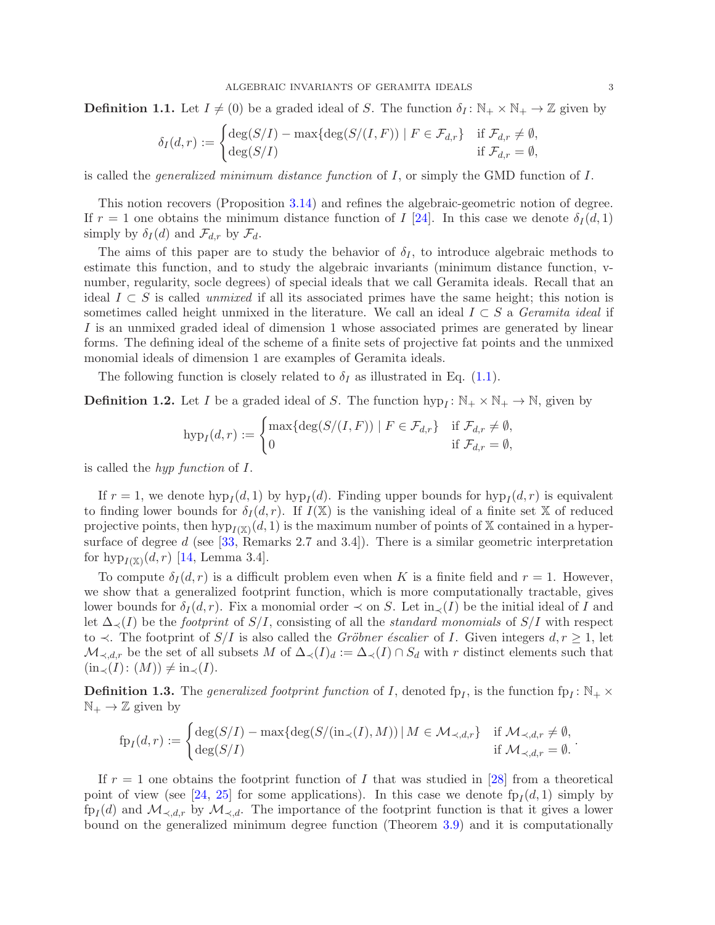<span id="page-2-0"></span>**Definition 1.1.** Let  $I \neq (0)$  be a graded ideal of S. The function  $\delta_I : \mathbb{N}_+ \times \mathbb{N}_+ \to \mathbb{Z}$  given by

$$
\delta_I(d,r) := \begin{cases} \deg(S/I) - \max\{\deg(S/(I,F)) \mid F \in \mathcal{F}_{d,r}\} & \text{if } \mathcal{F}_{d,r} \neq \emptyset, \\ \deg(S/I) & \text{if } \mathcal{F}_{d,r} = \emptyset, \end{cases}
$$

is called the *generalized minimum distance function* of I, or simply the GMD function of I.

This notion recovers (Proposition [3.14\)](#page-10-0) and refines the algebraic-geometric notion of degree. If  $r = 1$  one obtains the minimum distance function of I [\[24\]](#page-24-6). In this case we denote  $\delta_I(d, 1)$ simply by  $\delta_I(d)$  and  $\mathcal{F}_{d,r}$  by  $\mathcal{F}_d$ .

The aims of this paper are to study the behavior of  $\delta_I$ , to introduce algebraic methods to estimate this function, and to study the algebraic invariants (minimum distance function, vnumber, regularity, socle degrees) of special ideals that we call Geramita ideals. Recall that an ideal  $I \subset S$  is called *unmixed* if all its associated primes have the same height; this notion is sometimes called height unmixed in the literature. We call an ideal I ⊂ S a *Geramita ideal* if I is an unmixed graded ideal of dimension 1 whose associated primes are generated by linear forms. The defining ideal of the scheme of a finite sets of projective fat points and the unmixed monomial ideals of dimension 1 are examples of Geramita ideals.

The following function is closely related to  $\delta_I$  as illustrated in Eq. [\(1.1\)](#page-0-0).

**Definition 1.2.** Let I be a graded ideal of S. The function  $hyp_I: \mathbb{N}_+ \times \mathbb{N}_+ \to \mathbb{N}$ , given by

$$
\text{hyp}_I(d,r) := \begin{cases} \max\{\text{deg}(S/(I,F)) \mid F \in \mathcal{F}_{d,r}\} & \text{if } \mathcal{F}_{d,r} \neq \emptyset, \\ 0 & \text{if } \mathcal{F}_{d,r} = \emptyset, \end{cases}
$$

is called the *hyp function* of I.

If  $r = 1$ , we denote  $hyp_I(d, 1)$  by  $hyp_I(d)$ . Finding upper bounds for  $hyp_I(d, r)$  is equivalent to finding lower bounds for  $\delta_I(d, r)$ . If  $I(\mathbb{X})$  is the vanishing ideal of a finite set X of reduced projective points, then  $hyp_{I(X)}(d, 1)$  is the maximum number of points of X contained in a hypersurface of degree  $d$  (see [\[33,](#page-25-1) Remarks 2.7 and 3.4]). There is a similar geometric interpretation for  $hyp_{I(X)}(d, r)$  [\[14,](#page-24-5) Lemma 3.4].

To compute  $\delta_I(d, r)$  is a difficult problem even when K is a finite field and  $r = 1$ . However, we show that a generalized footprint function, which is more computationally tractable, gives lower bounds for  $\delta_I(d, r)$ . Fix a monomial order  $\prec$  on S. Let  $\text{in}_{\prec}(I)$  be the initial ideal of I and let ∆≺(I) be the *footprint* of S/I, consisting of all the *standard monomials* of S/I with respect to  $\prec$ . The footprint of  $S/I$  is also called the *Gröbner éscalier* of I. Given integers  $d, r \geq 1$ , let  $\mathcal{M}_{\prec,d,r}$  be the set of all subsets M of  $\Delta_{\prec}(I)_d := \Delta_{\prec}(I) \cap S_d$  with r distinct elements such that  $(in_{\prec}(I):(M)) \neq in_{\prec}(I).$ 

**Definition 1.3.** The *generalized footprint function* of I, denoted fp<sub>I</sub>, is the function fp<sub>I</sub>:  $\mathbb{N}_+ \times$  $\mathbb{N}_+ \to \mathbb{Z}$  given by

$$
\text{fp}_I(d,r) := \begin{cases} \deg(S/I) - \max\{\deg(S/(\text{in}_{\prec}(I), M)) \mid M \in \mathcal{M}_{\prec, d,r}\} & \text{if } \mathcal{M}_{\prec, d,r} \neq \emptyset, \\ \deg(S/I) & \text{if } \mathcal{M}_{\prec, d,r} = \emptyset. \end{cases}
$$

If  $r = 1$  one obtains the footprint function of I that was studied in [\[28\]](#page-24-7) from a theoretical point of view (see [\[24,](#page-24-6) [25\]](#page-24-8) for some applications). In this case we denote  $fp<sub>I</sub>(d, 1)$  simply by  $f_{PI}(d)$  and  $\mathcal{M}_{\prec,d,r}$  by  $\mathcal{M}_{\prec,d}$ . The importance of the footprint function is that it gives a lower bound on the generalized minimum degree function (Theorem [3.9\)](#page-8-0) and it is computationally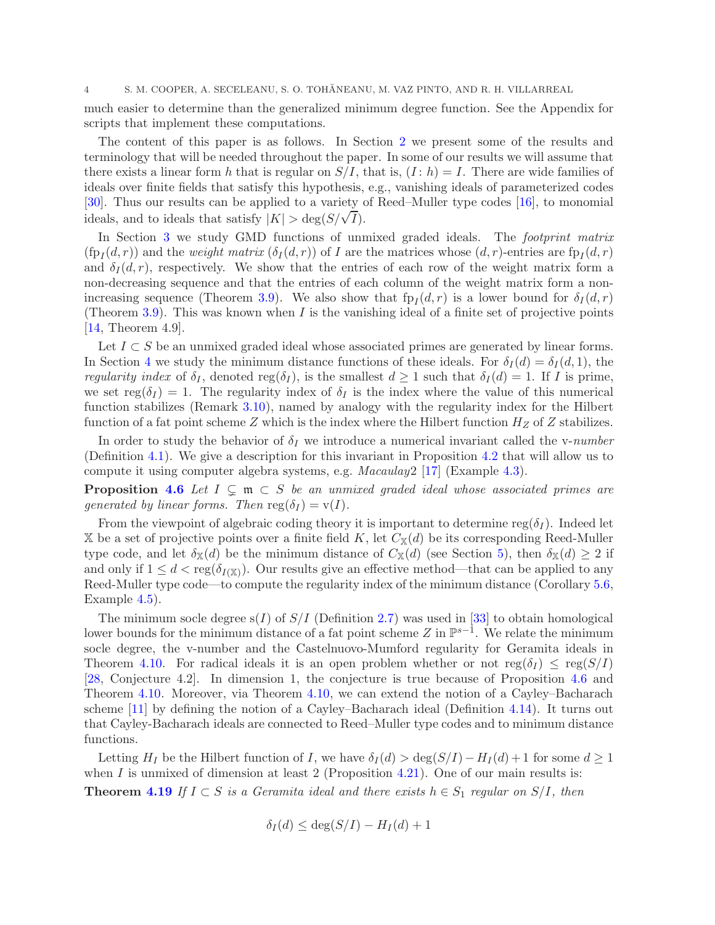much easier to determine than the generalized minimum degree function. See the Appendix for scripts that implement these computations.

The content of this paper is as follows. In Section [2](#page-4-0) we present some of the results and terminology that will be needed throughout the paper. In some of our results we will assume that there exists a linear form h that is regular on  $S/I$ , that is,  $(I : h) = I$ . There are wide families of ideals over finite fields that satisfy this hypothesis, e.g., vanishing ideals of parameterized codes [\[30\]](#page-24-9). Thus our results can be applied to a variety of Reed–Muller type codes [\[16\]](#page-24-4), to monomial ideals, and to ideals that satisfy  $|K| > \deg(S/\sqrt{I}).$ 

In Section [3](#page-7-0) we study GMD functions of unmixed graded ideals. The *footprint matrix*  $(\text{fp}_I(d, r))$  and the *weight matrix*  $(\delta_I(d, r))$  of I are the matrices whose  $(d, r)$ -entries are  $\text{fp}_I(d, r)$ and  $\delta_I(d, r)$ , respectively. We show that the entries of each row of the weight matrix form a non-decreasing sequence and that the entries of each column of the weight matrix form a non-increasing sequence (Theorem [3.9\)](#page-8-0). We also show that  $fp<sub>I</sub>(d,r)$  is a lower bound for  $\delta_I(d,r)$ (Theorem [3.9\)](#page-8-0). This was known when  $I$  is the vanishing ideal of a finite set of projective points [\[14,](#page-24-5) Theorem 4.9].

Let  $I \subset S$  be an unmixed graded ideal whose associated primes are generated by linear forms. In Section [4](#page-10-1) we study the minimum distance functions of these ideals. For  $\delta_I(d) = \delta_I(d, 1)$ , the *regularity index* of  $\delta_I$ , denoted reg( $\delta_I$ ), is the smallest  $d \geq 1$  such that  $\delta_I(d) = 1$ . If I is prime, we set reg( $\delta_I$ ) = 1. The regularity index of  $\delta_I$  is the index where the value of this numerical function stabilizes (Remark [3.10\)](#page-9-0), named by analogy with the regularity index for the Hilbert function of a fat point scheme Z which is the index where the Hilbert function  $H_Z$  of Z stabilizes.

In order to study the behavior of  $\delta_I$  we introduce a numerical invariant called the v-*number* (Definition [4.1\)](#page-11-0). We give a description for this invariant in Proposition [4.2](#page-11-1) that will allow us to compute it using computer algebra systems, e.g. *Macaulay*2 [\[17\]](#page-24-10) (Example [4.3\)](#page-11-2).

**Proposition [4.6](#page-12-0)** Let  $I \subseteq \mathfrak{m} \subset S$  be an unmixed graded ideal whose associated primes are *generated by linear forms. Then*  $reg(\delta_I) = v(I)$ .

From the viewpoint of algebraic coding theory it is important to determine reg( $\delta_I$ ). Indeed let X be a set of projective points over a finite field K, let  $C_{\mathbb{X}}(d)$  be its corresponding Reed-Muller type code, and let  $\delta_{\mathbb{X}}(d)$  be the minimum distance of  $C_{\mathbb{X}}(d)$  (see Section [5\)](#page-17-0), then  $\delta_{\mathbb{X}}(d) \geq 2$  if and only if  $1 \le d < \text{reg}(\delta_{I(X)})$ . Our results give an effective method—that can be applied to any Reed-Muller type code—to compute the regularity index of the minimum distance (Corollary [5.6,](#page-19-0) Example [4.5\)](#page-12-1).

The minimum socle degree  $s(I)$  of  $S/I$  (Definition [2.7\)](#page-5-0) was used in [\[33\]](#page-25-1) to obtain homological lower bounds for the minimum distance of a fat point scheme  $Z$  in  $\mathbb{P}^{s-1}$ . We relate the minimum socle degree, the v-number and the Castelnuovo-Mumford regularity for Geramita ideals in Theorem [4.10.](#page-13-0) For radical ideals it is an open problem whether or not  $reg(\delta_I) \leq reg(S/I)$ [\[28,](#page-24-7) Conjecture 4.2]. In dimension 1, the conjecture is true because of Proposition [4.6](#page-12-0) and Theorem [4.10.](#page-13-0) Moreover, via Theorem [4.10,](#page-13-0) we can extend the notion of a Cayley–Bacharach scheme [\[11\]](#page-24-11) by defining the notion of a Cayley–Bacharach ideal (Definition [4.14\)](#page-14-0). It turns out that Cayley-Bacharach ideals are connected to Reed–Muller type codes and to minimum distance functions.

Letting H<sub>I</sub> be the Hilbert function of I, we have  $\delta_I(d) > \deg(S/I) - H_I(d) + 1$  for some  $d \geq 1$ when  $I$  is unmixed of dimension at least 2 (Proposition [4.21\)](#page-17-1). One of our main results is: **Theorem [4.19](#page-16-0)** If  $I \subset S$  *is a Geramita ideal and there exists*  $h \in S_1$  *regular on*  $S/I$ *, then* 

$$
\delta_I(d) \le \deg(S/I) - H_I(d) + 1
$$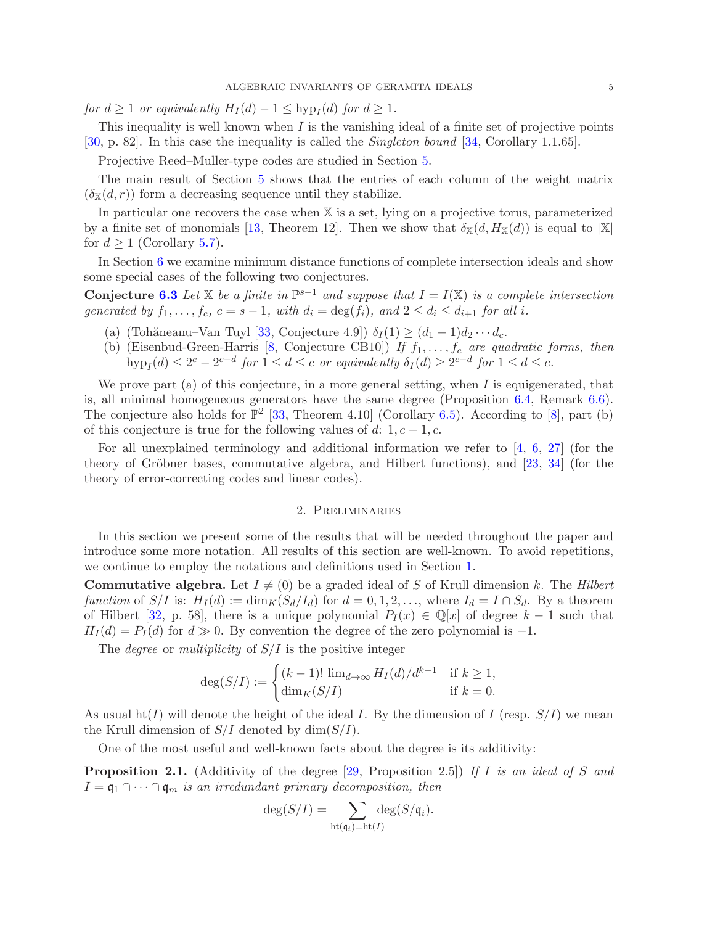*for*  $d \geq 1$  *or equivalently*  $H_I(d) - 1 \leq \text{hyp}_I(d)$  *for*  $d \geq 1$ *.* 

This inequality is well known when I is the vanishing ideal of a finite set of projective points [\[30,](#page-24-9) p. 82]. In this case the inequality is called the *Singleton bound* [\[34,](#page-25-2) Corollary 1.1.65].

Projective Reed–Muller-type codes are studied in Section [5.](#page-17-0)

The main result of Section [5](#page-17-0) shows that the entries of each column of the weight matrix  $(\delta_{\mathbb{X}}(d,r))$  form a decreasing sequence until they stabilize.

In particular one recovers the case when X is a set, lying on a projective torus, parameterized by a finite set of monomials [\[13,](#page-24-12) Theorem 12]. Then we show that  $\delta_{\mathbb{X}}(d, H_{\mathbb{X}}(d))$  is equal to  $|\mathbb{X}|$ for  $d \geq 1$  (Corollary [5.7\)](#page-19-1).

In Section [6](#page-19-2) we examine minimum distance functions of complete intersection ideals and show some special cases of the following two conjectures.

Conjecture [6.3](#page-19-3) Let  $X$  *be a finite in*  $\mathbb{P}^{s-1}$  *and suppose that*  $I = I(X)$  *is a complete intersection generated by*  $f_1, \ldots, f_c, c = s - 1$ *, with*  $d_i = \deg(f_i)$ *, and*  $2 \leq d_i \leq d_{i+1}$  *for all i.* 

- (a) (Tohăneanu–Van Tuyl [\[33,](#page-25-1) Conjecture 4.9])  $\delta_I(1) \geq (d_1 1)d_2 \cdots d_c$ .
- (b) (Eisenbud-Green-Harris  $[8,$  Conjecture CB10]) *If*  $f_1, \ldots, f_c$  *are quadratic forms, then*  $\text{hyp}_I(d) \leq 2^c - 2^{c-d}$  *for*  $1 \leq d \leq c$  *or equivalently*  $\delta_I(d) \geq 2^{c-d}$  *for*  $1 \leq d \leq c$ *.*

We prove part (a) of this conjecture, in a more general setting, when  $I$  is equigenerated, that is, all minimal homogeneous generators have the same degree (Proposition [6.4,](#page-20-0) Remark [6.6\)](#page-20-1). The conjecture also holds for  $\mathbb{P}^2$  [\[33,](#page-25-1) Theorem 4.10] (Corollary [6.5\)](#page-20-2). According to [\[8\]](#page-24-13), part (b) of this conjecture is true for the following values of d: 1,  $c - 1$ , c.

For all unexplained terminology and additional information we refer to  $\begin{bmatrix} 4, 6, 27 \end{bmatrix}$  $\begin{bmatrix} 4, 6, 27 \end{bmatrix}$  $\begin{bmatrix} 4, 6, 27 \end{bmatrix}$  (for the theory of Gröbner bases, commutative algebra, and Hilbert functions), and  $[23, 34]$  $[23, 34]$  (for the theory of error-correcting codes and linear codes).

## 2. Preliminaries

<span id="page-4-0"></span>In this section we present some of the results that will be needed throughout the paper and introduce some more notation. All results of this section are well-known. To avoid repetitions, we continue to employ the notations and definitions used in Section [1.](#page-0-1)

**Commutative algebra.** Let  $I \neq (0)$  be a graded ideal of S of Krull dimension k. The *Hilbert function* of  $S/I$  is:  $H_I(d) := \dim_K(S_d/I_d)$  for  $d = 0, 1, 2, \ldots$ , where  $I_d = I \cap S_d$ . By a theorem of Hilbert [\[32,](#page-25-3) p. 58], there is a unique polynomial  $P_I(x) \in \mathbb{Q}[x]$  of degree  $k-1$  such that  $H_I(d) = P_I(d)$  for  $d \gg 0$ . By convention the degree of the zero polynomial is -1.

The *degree* or *multiplicity* of S/I is the positive integer

$$
\deg(S/I) := \begin{cases} (k-1)! \lim_{d \to \infty} H_I(d)/d^{k-1} & \text{if } k \ge 1, \\ \dim_K(S/I) & \text{if } k = 0. \end{cases}
$$

As usual  $\text{ht}(I)$  will denote the height of the ideal I. By the dimension of I (resp.  $S/I$ ) we mean the Krull dimension of  $S/I$  denoted by  $\dim(S/I)$ .

One of the most useful and well-known facts about the degree is its additivity:

<span id="page-4-1"></span>Proposition 2.1. (Additivity of the degree [\[29,](#page-24-18) Proposition 2.5]) *If* I *is an ideal of* S *and*  $I = \mathfrak{q}_1 \cap \cdots \cap \mathfrak{q}_m$  *is an irredundant primary decomposition, then* 

$$
\deg(S/I) = \sum_{\text{ht}(\mathfrak{q}_i) = \text{ht}(I)} \deg(S/\mathfrak{q}_i).
$$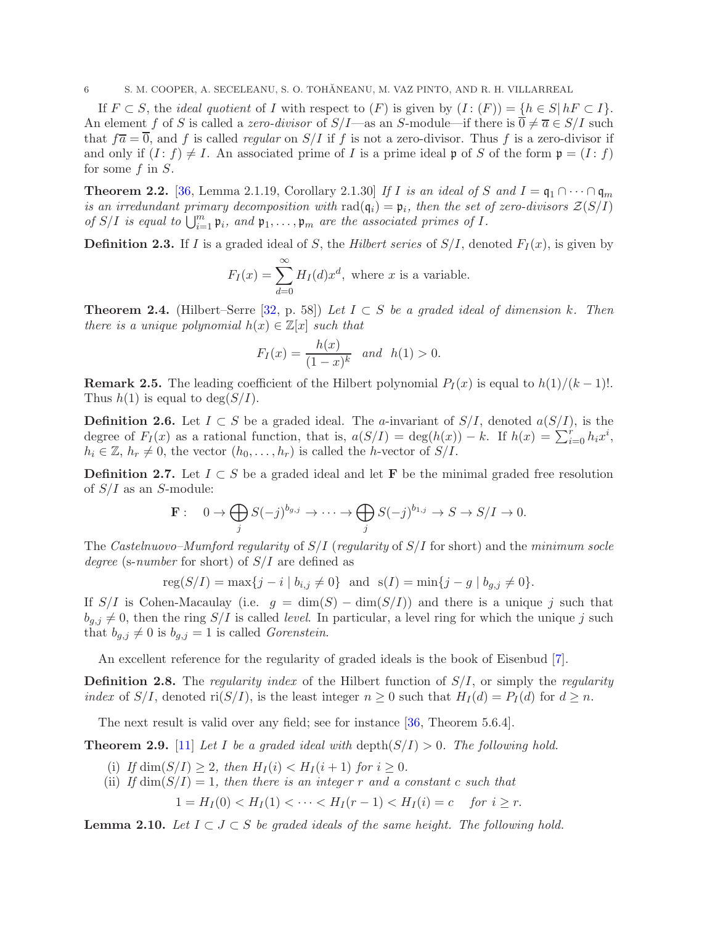If  $F \subset S$ , the *ideal quotient* of I with respect to  $(F)$  is given by  $(I : (F)) = \{h \in S | hF \subset I\}.$ An element f of S is called a *zero-divisor* of  $S/I$ —as an S-module—if there is  $\overline{0} \neq \overline{a} \in S/I$  such that  $f\overline{a} = \overline{0}$ , and f is called *regular* on  $S/I$  if f is not a zero-divisor. Thus f is a zero-divisor if and only if  $(I : f) \neq I$ . An associated prime of I is a prime ideal p of S of the form  $p = (I : f)$ for some f in S.

<span id="page-5-1"></span>**Theorem 2.2.** [\[36,](#page-25-4) Lemma 2.1.19, Corollary 2.1.30] *If I is an ideal of* S *and*  $I = \mathfrak{q}_1 \cap \cdots \cap \mathfrak{q}_m$ *is an irredundant primary decomposition with*  $rad(q_i) = p_i$ , then the set of zero-divisors  $Z(S/I)$ *of*  $S/I$  *is equal to*  $\bigcup_{i=1}^{m} \mathfrak{p}_i$ *, and*  $\mathfrak{p}_1, \ldots, \mathfrak{p}_m$  *are the associated primes of*  $I$ *.* 

**Definition 2.3.** If I is a graded ideal of S, the *Hilbert series* of  $S/I$ , denoted  $F_I(x)$ , is given by

$$
F_I(x) = \sum_{d=0}^{\infty} H_I(d) x^d
$$
, where *x* is a variable.

**Theorem 2.4.** (Hilbert–Serre [\[32,](#page-25-3) p. 58]) *Let*  $I ⊂ S$  *be a graded ideal of dimension*  $k$ . Then *there is a unique polynomial*  $h(x) \in \mathbb{Z}[x]$  *such that* 

$$
F_I(x) = \frac{h(x)}{(1-x)^k}
$$
 and  $h(1) > 0$ .

**Remark 2.5.** The leading coefficient of the Hilbert polynomial  $P_I(x)$  is equal to  $h(1)/(k-1)!$ . Thus  $h(1)$  is equal to  $\deg(S/I)$ .

**Definition 2.6.** Let  $I \subset S$  be a graded ideal. The *a*-invariant of  $S/I$ , denoted  $a(S/I)$ , is the degree of  $F_I(x)$  as a rational function, that is,  $a(S/I) = \deg(h(x)) - k$ . If  $h(x) = \sum_{i=0}^{r} h_i x^i$ ,  $h_i \in \mathbb{Z}, h_r \neq 0$ , the vector  $(h_0, \ldots, h_r)$  is called the h-vector of  $S/I$ .

<span id="page-5-0"></span>**Definition 2.7.** Let  $I \subset S$  be a graded ideal and let **F** be the minimal graded free resolution of  $S/I$  as an S-module:

$$
\mathbf{F}: \quad 0 \to \bigoplus_j S(-j)^{b_{g,j}} \to \cdots \to \bigoplus_j S(-j)^{b_{1,j}} \to S \to S/I \to 0.
$$

The *Castelnuovo–Mumford regularity* of S/I (*regularity* of S/I for short) and the *minimum socle degree* (s-*number* for short) of S/I are defined as

$$
reg(S/I) = max\{j - i \mid b_{i,j} \neq 0\} \text{ and } s(I) = min\{j - g \mid b_{g,j} \neq 0\}.
$$

If  $S/I$  is Cohen-Macaulay (i.e.  $q = \dim(S) - \dim(S/I)$ ) and there is a unique j such that  $b_{q,j} \neq 0$ , then the ring  $S/I$  is called *level*. In particular, a level ring for which the unique j such that  $b_{g,j} \neq 0$  is  $b_{g,j} = 1$  is called *Gorenstein*.

An excellent reference for the regularity of graded ideals is the book of Eisenbud [\[7\]](#page-24-19).

Definition 2.8. The *regularity index* of the Hilbert function of S/I, or simply the *regularity index* of  $S/I$ , denoted ri $(S/I)$ , is the least integer  $n \geq 0$  such that  $H_I(d) = P_I(d)$  for  $d \geq n$ .

The next result is valid over any field; see for instance [\[36,](#page-25-4) Theorem 5.6.4].

<span id="page-5-3"></span>**Theorem 2.9.** [\[11\]](#page-24-11) Let I be a graded ideal with depth( $S/I$ ) > 0. The following hold.

- (i) If  $\dim(S/I) > 2$ , then  $H_I(i) < H_I(i+1)$  for  $i > 0$ .
- (ii) *If*  $\dim(S/I) = 1$ *, then there is an integer* r *and* a constant c *such that*

$$
1 = H_I(0) < H_I(1) < \cdots < H_I(r-1) < H_I(i) = c \quad \text{for } i \ge r.
$$

<span id="page-5-2"></span>**Lemma 2.10.** Let  $I \subset J \subset S$  be graded ideals of the same height. The following hold.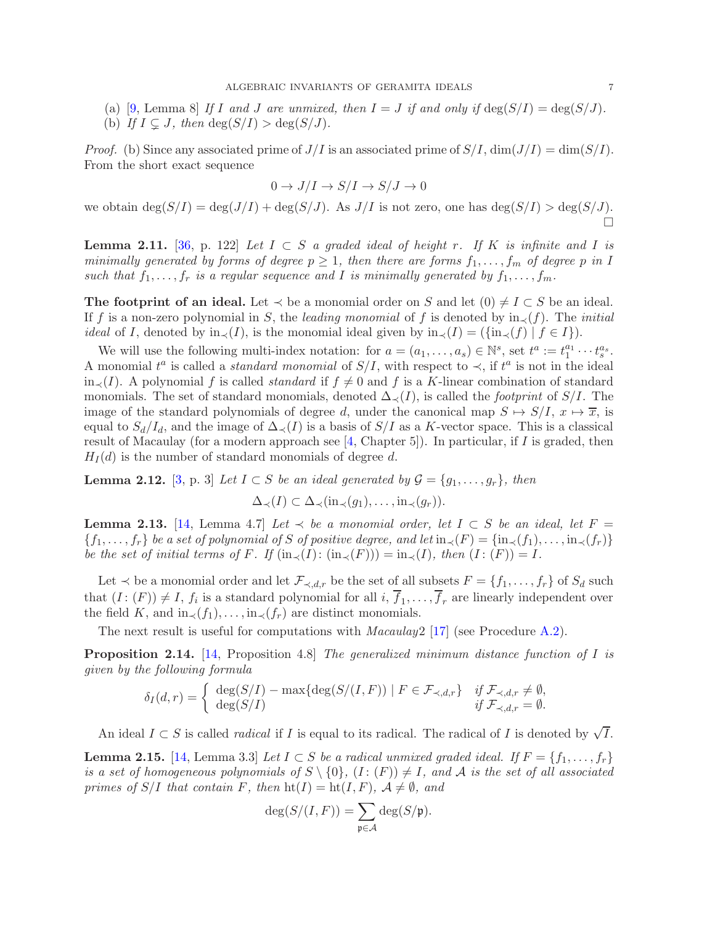- (a) [\[9,](#page-24-20) Lemma 8] If I and J are unmixed, then  $I = J$  if and only if  $\deg(S/I) = \deg(S/J)$ .
- (b) If  $I \subseteq J$ , then  $\deg(S/I) > \deg(S/J)$ .

*Proof.* (b) Since any associated prime of  $J/I$  is an associated prime of  $S/I$ ,  $\dim(J/I) = \dim(S/I)$ . From the short exact sequence

$$
0 \to J/I \to S/I \to S/J \to 0
$$

we obtain  $\deg(S/I) = \deg(J/I) + \deg(S/J)$ . As  $J/I$  is not zero, one has  $\deg(S/I) > \deg(S/J)$ .  $\Box$ 

<span id="page-6-3"></span>**Lemma 2.11.** [\[36,](#page-25-4) p. 122] Let  $I \subset S$  *a graded ideal of height* r. If K *is infinite and* I *is minimally generated by forms of degree*  $p \geq 1$ , then there are forms  $f_1, \ldots, f_m$  of degree p in I such that  $f_1, \ldots, f_r$  is a regular sequence and I is minimally generated by  $f_1, \ldots, f_m$ .

The footprint of an ideal. Let  $\prec$  be a monomial order on S and let  $(0) \neq I \subset S$  be an ideal. If f is a non-zero polynomial in S, the *leading monomial* of f is denoted by  $\text{in} \leq f(f)$ . The *initial ideal* of I, denoted by  $\text{in}_{\prec}(I)$ , is the monomial ideal given by  $\text{in}_{\prec}(I) = (\{\text{in}_{\prec}(f) \mid f \in I\}).$ 

We will use the following multi-index notation: for  $a = (a_1, \ldots, a_s) \in \mathbb{N}^s$ , set  $t^a := t_1^{a_1}$ .  $t_1^{a_1} \cdots t_s^{a_s}.$ A monomial  $t^a$  is called a *standard monomial* of  $S/I$ , with respect to  $\prec$ , if  $t^a$  is not in the ideal in<sub>≺</sub>(I). A polynomial f is called *standard* if  $f \neq 0$  and f is a K-linear combination of standard monomials. The set of standard monomials, denoted  $\Delta_{\prec}(I)$ , is called the *footprint* of S/I. The image of the standard polynomials of degree d, under the canonical map  $S \mapsto S/I$ ,  $x \mapsto \overline{x}$ , is equal to  $S_d/I_d$ , and the image of  $\Delta_{\prec}(I)$  is a basis of  $S/I$  as a K-vector space. This is a classical result of Macaulay (for a modern approach see [\[4,](#page-24-14) Chapter 5]). In particular, if I is graded, then  $H_I(d)$  is the number of standard monomials of degree d.

**Lemma 2.12.** [\[3,](#page-24-21) p. 3] *Let*  $I \subset S$  *be an ideal generated by*  $\mathcal{G} = \{g_1, \ldots, g_r\}$ , *then* 

$$
\Delta_{\prec}(I) \subset \Delta_{\prec}(\text{in}_{\prec}(g_1), \ldots, \text{in}_{\prec}(g_r)).
$$

<span id="page-6-1"></span>**Lemma 2.13.** [\[14,](#page-24-5) Lemma 4.7] *Let*  $\prec$  *be a monomial order, let*  $I \subset S$  *be an ideal, let*  $F =$  ${f_1,\ldots,f_r}$  *be a set of polynomial of* S *of positive degree, and let*  $\text{in}_{\prec}(F) = \{\text{in}_{\prec}(f_1),\ldots,\text{in}_{\prec}(f_r)\}$ *be the set of initial terms of* F. If  $(\text{in}_{\prec}(I): (\text{in}_{\prec}(F))) = \text{in}_{\prec}(I)$ *, then*  $(I: (F)) = I$ *.* 

Let  $\prec$  be a monomial order and let  $\mathcal{F}_{\prec,d,r}$  be the set of all subsets  $F = \{f_1, \ldots, f_r\}$  of  $S_d$  such that  $(I: (F)) \neq I$ ,  $f_i$  is a standard polynomial for all  $i, f_1, \ldots, f_r$  are linearly independent over the field K, and in $\langle f_1, \ldots, \text{in} \rangle(f_r)$  are distinct monomials.

The next result is useful for computations with *Macaulay*2 [\[17\]](#page-24-10) (see Procedure [A.2\)](#page-22-0).

<span id="page-6-2"></span>Proposition 2.14. [\[14,](#page-24-5) Proposition 4.8] *The generalized minimum distance function of* I *is given by the following formula*

$$
\delta_I(d,r) = \begin{cases} \deg(S/I) - \max\{\deg(S/(I,F)) \mid F \in \mathcal{F}_{\prec,d,r}\} & \text{if } \mathcal{F}_{\prec,d,r} \neq \emptyset, \\ \deg(S/I) & \text{if } \mathcal{F}_{\prec,d,r} = \emptyset. \end{cases}
$$

An ideal  $I \subset S$  is called *radical* if I is equal to its radical. The radical of I is denoted by  $\sqrt{I}$ .

<span id="page-6-0"></span>**Lemma 2.15.** [\[14,](#page-24-5) Lemma 3.3] *Let*  $I \subset S$  *be a radical unmixed graded ideal. If*  $F = \{f_1, \ldots, f_r\}$ *is a set of homogeneous polynomials of*  $S \setminus \{0\}$ ,  $(I: (F)) \neq I$ , and A *is the set of all associated primes of*  $S/I$  *that contain*  $F$ *, then*  $\text{ht}(I) = \text{ht}(I, F)$ *,*  $\mathcal{A} \neq \emptyset$ *, and* 

$$
\deg(S/(I, F)) = \sum_{\mathfrak{p} \in \mathcal{A}} \deg(S/\mathfrak{p}).
$$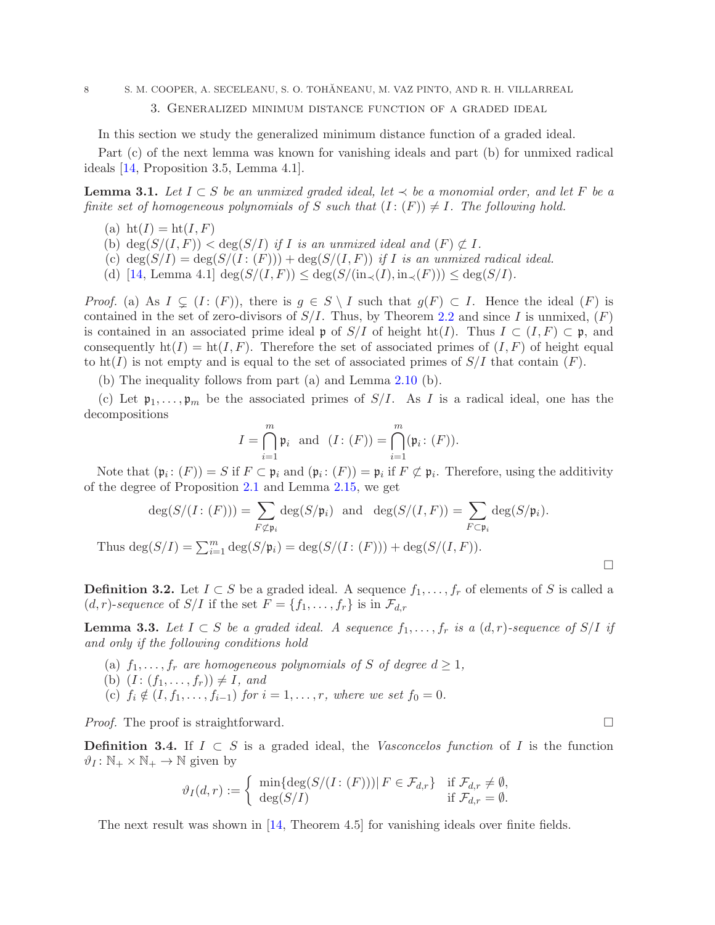3. Generalized minimum distance function of a graded ideal

In this section we study the generalized minimum distance function of a graded ideal.

Part (c) of the next lemma was known for vanishing ideals and part (b) for unmixed radical ideals [\[14,](#page-24-5) Proposition 3.5, Lemma 4.1].

<span id="page-7-1"></span>**Lemma 3.1.** *Let*  $I ⊂ S$  *be an unmixed graded ideal, let*  $\prec$  *be a monomial order, and let*  $F$  *be a finite set of homogeneous polynomials of* S *such that*  $(I:(F)) \neq I$ *. The following hold.* 

- (a)  $\operatorname{ht}(I) = \operatorname{ht}(I, F)$
- (b)  $\deg(S/(I, F)) < \deg(S/I)$  *if I is an unmixed ideal and*  $(F) \not\subset I$ *.*
- (c)  $\deg(S/I) = \deg(S/(I:(F))) + \deg(S/(I, F))$  *if I is an unmixed radical ideal.*
- (d) [\[14,](#page-24-5) Lemma 4.1]  $\deg(S/(I, F)) \leq \deg(S/(\text{in}_{\prec}(I), \text{in}_{\prec}(F))) \leq \deg(S/I)$ .

*Proof.* (a) As  $I \subseteq (I : (F))$ , there is  $g \in S \setminus I$  such that  $g(F) \subset I$ . Hence the ideal  $(F)$  is contained in the set of zero-divisors of  $S/I$ . Thus, by Theorem [2.2](#page-5-1) and since I is unmixed,  $(F)$ is contained in an associated prime ideal p of  $S/I$  of height ht(I). Thus  $I \subset (I, F) \subset \mathfrak{p}$ , and consequently  $\text{ht}(I) = \text{ht}(I, F)$ . Therefore the set of associated primes of  $(I, F)$  of height equal to ht(I) is not empty and is equal to the set of associated primes of  $S/I$  that contain  $(F)$ .

(b) The inequality follows from part (a) and Lemma [2.10](#page-5-2) (b).

(c) Let  $\mathfrak{p}_1,\ldots,\mathfrak{p}_m$  be the associated primes of  $S/I$ . As I is a radical ideal, one has the decompositions

$$
I = \bigcap_{i=1}^{m} \mathfrak{p}_i \text{ and } (I: (F)) = \bigcap_{i=1}^{m} (\mathfrak{p}_i: (F)).
$$

Note that  $(\mathfrak{p}_i : (F)) = S$  if  $F \subset \mathfrak{p}_i$  and  $(\mathfrak{p}_i : (F)) = \mathfrak{p}_i$  if  $F \not\subset \mathfrak{p}_i$ . Therefore, using the additivity of the degree of Proposition [2.1](#page-4-1) and Lemma [2.15,](#page-6-0) we get

$$
\deg(S/(I:(F))) = \sum_{F \not\subset \mathfrak{p}_i} \deg(S/\mathfrak{p}_i) \text{ and } \deg(S/(I,F)) = \sum_{F \subset \mathfrak{p}_i} \deg(S/\mathfrak{p}_i).
$$
  
Thus 
$$
\deg(S/I) = \sum_{i=1}^m \deg(S/\mathfrak{p}_i) = \deg(S/(I:(F))) + \deg(S/(I,F)).
$$

**Definition 3.2.** Let  $I \subset S$  be a graded ideal. A sequence  $f_1, \ldots, f_r$  of elements of S is called a  $(d, r)$ -sequence of  $S/I$  if the set  $F = \{f_1, \ldots, f_r\}$  is in  $\mathcal{F}_{d,r}$ 

**Lemma 3.3.** *Let I* ⊂ S *be a graded ideal.* A sequence  $f_1, \ldots, f_r$  *is a*  $(d, r)$ *-sequence of* S/*I if and only if the following conditions hold*

- (a)  $f_1, \ldots, f_r$  *are homogeneous polynomials of* S *of degree*  $d \geq 1$ ,
- (b)  $(I: (f_1, ..., f_r)) \neq I$ *, and*
- (c)  $f_i \notin (I, f_1, \ldots, f_{i-1})$  *for*  $i = 1, \ldots, r$ *, where we set*  $f_0 = 0$ *.*

*Proof.* The proof is straightforward. □

Definition 3.4. If  $I \subset S$  is a graded ideal, the *Vasconcelos function* of I is the function  $\vartheta_I : \mathbb{N}_+ \times \mathbb{N}_+ \to \mathbb{N}$  given by

$$
\vartheta_I(d,r) := \begin{cases} \min\{\deg(S/(I:(F))) | F \in \mathcal{F}_{d,r}\} & \text{if } \mathcal{F}_{d,r} \neq \emptyset, \\ \deg(S/I) & \text{if } \mathcal{F}_{d,r} = \emptyset. \end{cases}
$$

The next result was shown in [\[14,](#page-24-5) Theorem 4.5] for vanishing ideals over finite fields.

<span id="page-7-0"></span>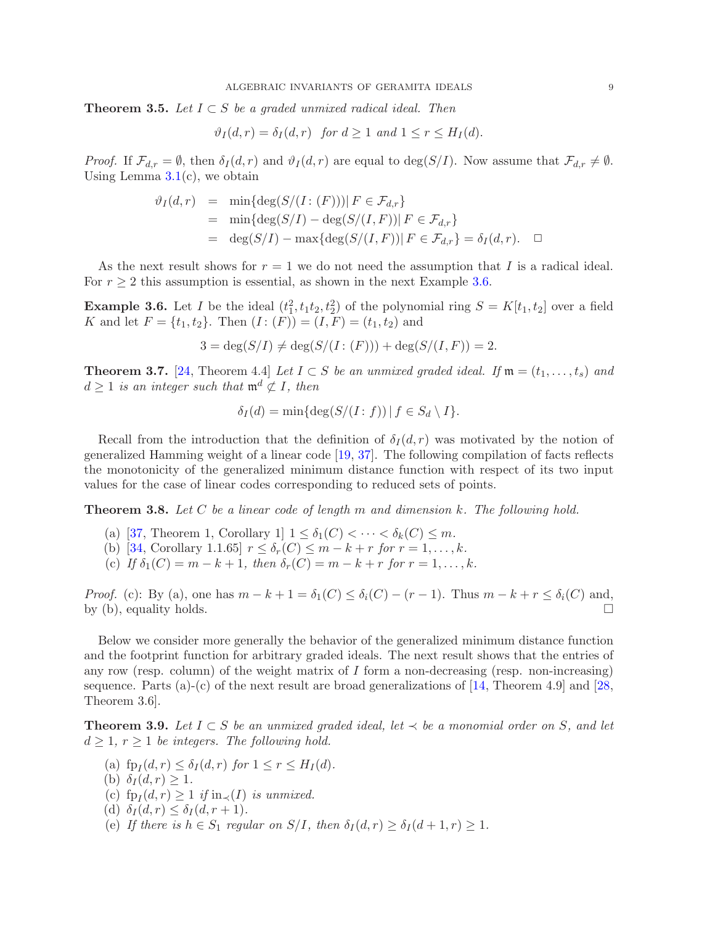<span id="page-8-4"></span>**Theorem 3.5.** *Let*  $I ⊂ S$  *be a graded unmixed radical ideal. Then* 

$$
\vartheta_I(d,r) = \delta_I(d,r) \text{ for } d \ge 1 \text{ and } 1 \le r \le H_I(d).
$$

*Proof.* If  $\mathcal{F}_{d,r} = \emptyset$ , then  $\delta_I(d,r)$  and  $\vartheta_I(d,r)$  are equal to  $\deg(S/I)$ . Now assume that  $\mathcal{F}_{d,r} \neq \emptyset$ . Using Lemma  $3.1(c)$  $3.1(c)$ , we obtain

$$
\vartheta_I(d,r) = \min\{\deg(S/(I:(F)))| F \in \mathcal{F}_{d,r}\}
$$
  
= 
$$
\min\{\deg(S/I) - \deg(S/(I,F))| F \in \mathcal{F}_{d,r}\}
$$
  
= 
$$
\deg(S/I) - \max\{\deg(S/(I,F))| F \in \mathcal{F}_{d,r}\} = \delta_I(d,r).
$$

As the next result shows for  $r = 1$  we do not need the assumption that I is a radical ideal. For  $r \geq 2$  this assumption is essential, as shown in the next Example [3.6.](#page-8-1)

<span id="page-8-1"></span>**Example 3.6.** Let I be the ideal  $(t_1^2, t_1t_2, t_2^2)$  of the polynomial ring  $S = K[t_1, t_2]$  over a field K and let  $F = \{t_1, t_2\}$ . Then  $(I: (F)) = (I, F) = (t_1, t_2)$  and

$$
3 = \deg(S/I) \neq \deg(S/(I:(F))) + \deg(S/(I, F)) = 2.
$$

<span id="page-8-2"></span>**Theorem 3.7.** [\[24,](#page-24-6) Theorem 4.4] *Let*  $I \subset S$  *be an unmixed graded ideal. If*  $\mathfrak{m} = (t_1, \ldots, t_s)$  *and*  $d > 1$  *is an integer such that*  $\mathfrak{m}^d \not\subset I$ , then

$$
\delta_I(d) = \min\{\deg(S/(I:f)) \mid f \in S_d \setminus I\}.
$$

Recall from the introduction that the definition of  $\delta_I(d,r)$  was motivated by the notion of generalized Hamming weight of a linear code [\[19,](#page-24-0) [37\]](#page-25-0). The following compilation of facts reflects the monotonicity of the generalized minimum distance function with respect of its two input values for the case of linear codes corresponding to reduced sets of points.

<span id="page-8-3"></span>Theorem 3.8. *Let* C *be a linear code of length* m *and dimension* k*. The following hold.*

- (a) [\[37,](#page-25-0) Theorem 1, Corollary 1]  $1 \leq \delta_1(C) < \cdots < \delta_k(C) \leq m$ .
- (b) [\[34,](#page-25-2) Corollary 1.1.65]  $r \leq \delta_r(C) \leq m k + r$  *for*  $r = 1, ..., k$ *.*
- (c) *If*  $\delta_1(C) = m k + 1$ , then  $\delta_r(C) = m k + r$  for  $r = 1, ..., k$ .

*Proof.* (c): By (a), one has  $m - k + 1 = \delta_1(C) \leq \delta_i(C) - (r - 1)$ . Thus  $m - k + r \leq \delta_i(C)$  and, by (b) equality holds by (b), equality holds.

Below we consider more generally the behavior of the generalized minimum distance function and the footprint function for arbitrary graded ideals. The next result shows that the entries of any row (resp. column) of the weight matrix of  $I$  form a non-decreasing (resp. non-increasing) sequence. Parts  $(a)-(c)$  of the next result are broad generalizations of [\[14,](#page-24-5) Theorem 4.9] and [\[28,](#page-24-7) Theorem 3.6].

<span id="page-8-0"></span>**Theorem 3.9.** Let  $I ⊂ S$  *be an unmixed graded ideal, let*  $\prec$  *be a monomial order on* S, and let  $d \geq 1, r \geq 1$  *be integers. The following hold.* 

- (a)  $\text{fp}_I(d, r) \leq \delta_I(d, r) \text{ for } 1 \leq r \leq H_I(d)$ .
- (b)  $\delta_I(d, r) \geq 1$ .
- (c)  $\text{fp}_I(d, r) \geq 1$  *if*  $\text{in}_{\prec}(I)$  *is unmixed.*
- (d)  $\delta_I(d, r) \leq \delta_I(d, r + 1)$ .
- (e) If there is  $h \in S_1$  regular on  $S/I$ , then  $\delta_I(d, r) \geq \delta_I(d+1, r) \geq 1$ .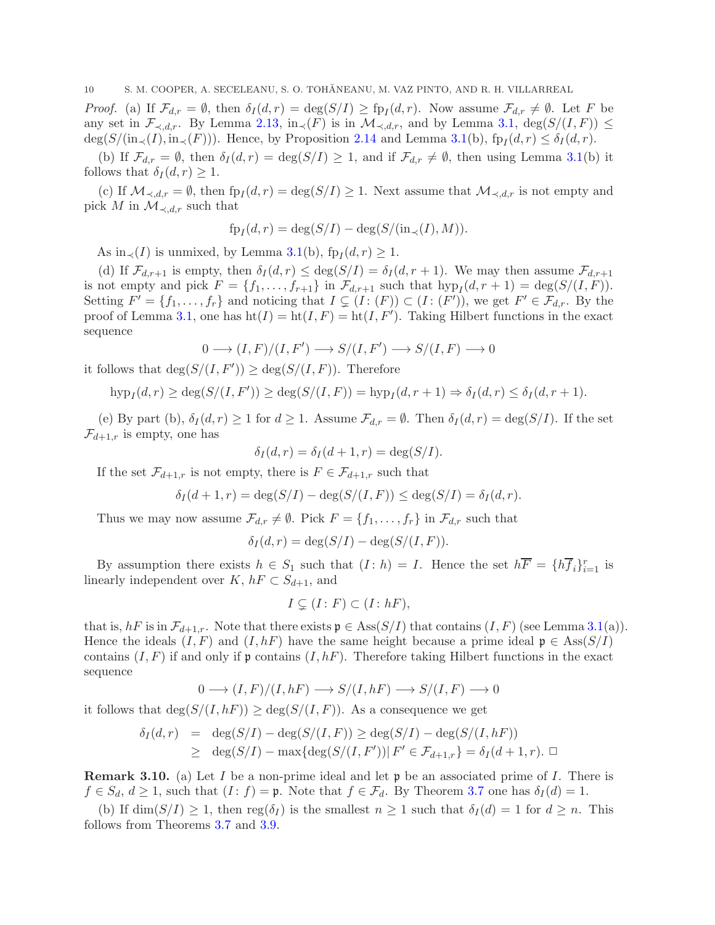*Proof.* (a) If  $\mathcal{F}_{d,r} = \emptyset$ , then  $\delta_I(d,r) = \deg(S/I) \geq \text{fp}_I(d,r)$ . Now assume  $\mathcal{F}_{d,r} \neq \emptyset$ . Let F be any set in  $\mathcal{F}_{\prec,d,r}$ . By Lemma [2.13,](#page-6-1) in $\prec(F)$  is in  $\mathcal{M}_{\prec,d,r}$ , and by Lemma [3.1,](#page-7-1)  $\deg(S/(I,F)) \leq$  $deg(S/(in_{\prec}(I), in_{\prec}(F)))$ . Hence, by Proposition [2.14](#page-6-2) and Lemma [3.1\(](#page-7-1)b),  $fp_I(d, r) \le \delta_I(d, r)$ .

(b) If  $\mathcal{F}_{d,r} = \emptyset$ , then  $\delta_I(d,r) = \deg(S/I) \geq 1$ , and if  $\mathcal{F}_{d,r} \neq \emptyset$ , then using Lemma [3.1\(](#page-7-1)b) it follows that  $\delta_I(d, r) \geq 1$ .

(c) If  $\mathcal{M}_{\prec,d,r} = \emptyset$ , then  $fp_I(d,r) = deg(S/I) \geq 1$ . Next assume that  $\mathcal{M}_{\prec,d,r}$  is not empty and pick M in  $\mathcal{M}_{\prec,d,r}$  such that

$$
fp_I(d,r) = \deg(S/I) - \deg(S/(\text{in}_{\prec}(I), M)).
$$

As in<sub> $\prec$ </sub>(*I*) is unmixed, by Lemma [3.1\(](#page-7-1)b), fp<sub>*I*</sub>(*d*, *r*) ≥ 1.

(d) If  $\mathcal{F}_{d,r+1}$  is empty, then  $\delta_I(d,r) \leq \deg(S/I) = \delta_I(d,r+1)$ . We may then assume  $\mathcal{F}_{d,r+1}$ is not empty and pick  $F = \{f_1, \ldots, f_{r+1}\}\$  in  $\mathcal{F}_{d,r+1}$  such that  $hyp_I(d, r+1) = \deg(S/(I, F)).$ Setting  $F' = \{f_1, \ldots, f_r\}$  and noticing that  $I \subsetneq (I : (F)) \subset (I : (F'))$ , we get  $F' \in \mathcal{F}_{d,r}$ . By the proof of Lemma [3.1,](#page-7-1) one has  $ht(I) = ht(I, F) = ht(I, F')$ . Taking Hilbert functions in the exact sequence

$$
0\longrightarrow (I,F)/(I,F')\longrightarrow S/(I,F')\longrightarrow S/(I,F)\longrightarrow 0
$$

it follows that  $\deg(S/(I, F')) \geq \deg(S/(I, F))$ . Therefore

$$
\operatorname{hyp}_I(d,r) \ge \operatorname{deg}(S/(I,F')) \ge \operatorname{deg}(S/(I,F)) = \operatorname{hyp}_I(d,r+1) \Rightarrow \delta_I(d,r) \le \delta_I(d,r+1).
$$

(e) By part (b),  $\delta_I(d, r) \geq 1$  for  $d \geq 1$ . Assume  $\mathcal{F}_{d,r} = \emptyset$ . Then  $\delta_I(d, r) = \deg(S/I)$ . If the set  $\mathcal{F}_{d+1,r}$  is empty, one has

$$
\delta_I(d,r) = \delta_I(d+1,r) = \deg(S/I).
$$

If the set  $\mathcal{F}_{d+1,r}$  is not empty, there is  $F \in \mathcal{F}_{d+1,r}$  such that

$$
\delta_I(d+1,r) = \deg(S/I) - \deg(S/(I,F)) \leq \deg(S/I) = \delta_I(d,r).
$$

Thus we may now assume  $\mathcal{F}_{d,r} \neq \emptyset$ . Pick  $F = \{f_1, \ldots, f_r\}$  in  $\mathcal{F}_{d,r}$  such that

$$
\delta_I(d,r) = \deg(S/I) - \deg(S/(I,F)).
$$

By assumption there exists  $h \in S_1$  such that  $(I : h) = I$ . Hence the set  $h \overline{F} = \{h \overline{f}_i\}_{i=1}^r$  is linearly independent over K,  $hF \subset S_{d+1}$ , and

$$
I\subsetneq (I\colon F)\subset (I\colon hF),
$$

that is,  $hF$  is in  $\mathcal{F}_{d+1,r}$ . Note that there exists  $\mathfrak{p} \in \text{Ass}(S/I)$  that contains  $(I, F)$  (see Lemma [3.1\(](#page-7-1)a)). Hence the ideals  $(I, F)$  and  $(I, hF)$  have the same height because a prime ideal  $\mathfrak{p} \in \text{Ass}(S/I)$ contains  $(I, F)$  if and only if p contains  $(I, hF)$ . Therefore taking Hilbert functions in the exact sequence

$$
0 \longrightarrow (I, F)/(I, hF) \longrightarrow S/(I, hF) \longrightarrow S/(I, F) \longrightarrow 0
$$

it follows that  $deg(S/(I, hF)) \geq deg(S/(I, F))$ . As a consequence we get

$$
\delta_I(d,r) = \deg(S/I) - \deg(S/(I, F)) \ge \deg(S/I) - \deg(S/(I, hF))
$$
  
 
$$
\ge \deg(S/I) - \max\{\deg(S/(I, F')) | F' \in \mathcal{F}_{d+1,r}\} = \delta_I(d+1,r). \square
$$

<span id="page-9-0"></span>**Remark 3.10.** (a) Let I be a non-prime ideal and let  $\mathfrak{p}$  be an associated prime of I. There is  $f \in S_d$ ,  $d \geq 1$ , such that  $(I : f) = \mathfrak{p}$ . Note that  $f \in \mathcal{F}_d$ . By Theorem [3.7](#page-8-2) one has  $\delta_I(d) = 1$ .

(b) If  $\dim(S/I) \geq 1$ , then  $reg(\delta_I)$  is the smallest  $n \geq 1$  such that  $\delta_I(d) = 1$  for  $d \geq n$ . This follows from Theorems [3.7](#page-8-2) and [3.9.](#page-8-0)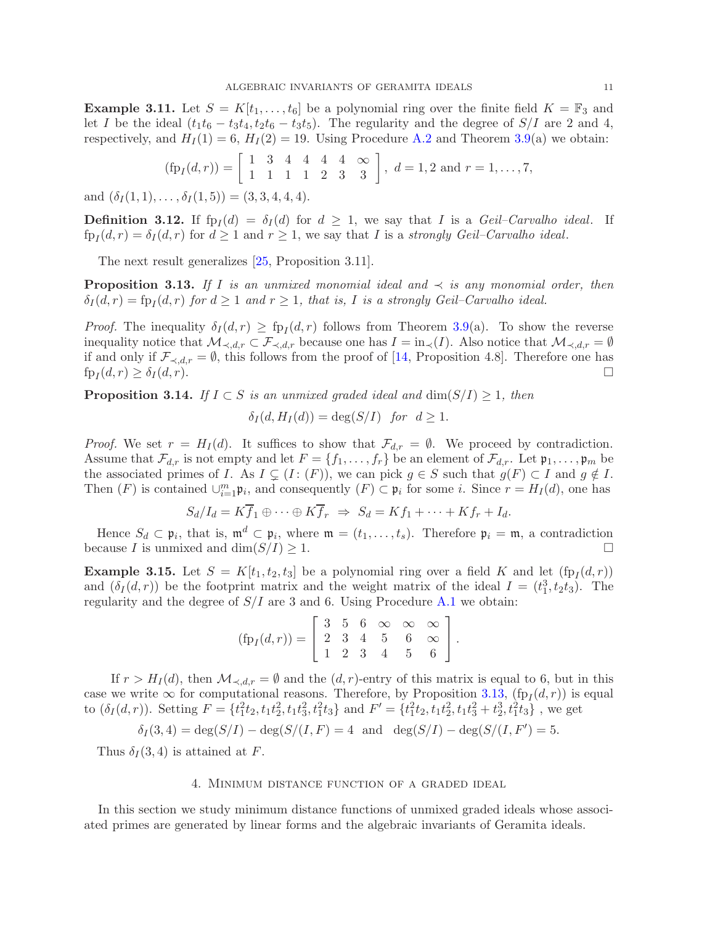<span id="page-10-4"></span>**Example 3.11.** Let  $S = K[t_1, \ldots, t_6]$  be a polynomial ring over the finite field  $K = \mathbb{F}_3$  and let I be the ideal  $(t_1t_6 - t_3t_4, t_2t_6 - t_3t_5)$ . The regularity and the degree of  $S/I$  are 2 and 4, respectively, and  $H_I(1) = 6$ ,  $H_I(2) = 19$ . Using Procedure [A.2](#page-22-0) and Theorem [3.9\(](#page-8-0)a) we obtain:

$$
(\text{fp}_I(d,r)) = \begin{bmatrix} 1 & 3 & 4 & 4 & 4 & 4 & \infty \\ 1 & 1 & 1 & 1 & 2 & 3 & 3 \end{bmatrix}, d = 1, 2 \text{ and } r = 1, \ldots, 7,
$$

and  $(\delta_I (1, 1), \ldots, \delta_I (1, 5)) = (3, 3, 4, 4, 4).$ 

**Definition 3.12.** If  $fp_I(d) = \delta_I(d)$  for  $d \geq 1$ , we say that I is a *Geil–Carvalho ideal*. If  $\text{fp}_I(d, r) = \delta_I(d, r)$  for  $d \geq 1$  and  $r \geq 1$ , we say that I is a *strongly Geil–Carvalho ideal*.

The next result generalizes [\[25,](#page-24-8) Proposition 3.11].

<span id="page-10-2"></span>**Proposition 3.13.** If I is an unmixed monomial ideal and  $\prec$  is any monomial order, then  $\delta_I(d,r) = \text{fp}_I(d,r)$  for  $d \geq 1$  and  $r \geq 1$ , that is, I is a strongly Geil–Carvalho ideal.

*Proof.* The inequality  $\delta_I(d, r) \geq \text{fp}_I(d, r)$  follows from Theorem [3.9\(](#page-8-0)a). To show the reverse inequality notice that  $\mathcal{M}_{\prec,d,r} \subset \mathcal{F}_{\prec,d,r}$  because one has  $I = \text{in}_{\prec}(I)$ . Also notice that  $\mathcal{M}_{\prec,d,r} = \emptyset$ if and only if  $\mathcal{F}_{\prec,d,r} = \emptyset$ , this follows from the proof of [\[14,](#page-24-5) Proposition 4.8]. Therefore one has  $f_{p}(d,r) \geq \delta_I(d,r)$ . □  $f p_I(d,r) \geq \delta_I(d,r).$ 

<span id="page-10-0"></span>**Proposition 3.14.** *If*  $I \subset S$  *is an unmixed graded ideal and* dim $(S/I) \geq 1$ *, then* 

$$
\delta_I(d, H_I(d)) = \deg(S/I) \text{ for } d \ge 1.
$$

*Proof.* We set  $r = H<sub>I</sub>(d)$ . It suffices to show that  $\mathcal{F}_{d,r} = \emptyset$ . We proceed by contradiction. Assume that  $\mathcal{F}_{d,r}$  is not empty and let  $F = \{f_1, \ldots, f_r\}$  be an element of  $\mathcal{F}_{d,r}$ . Let  $\mathfrak{p}_1, \ldots, \mathfrak{p}_m$  be the associated primes of I. As  $I \subsetneq (I : (F))$ , we can pick  $g \in S$  such that  $g(F) \subset I$  and  $g \notin I$ . Then  $(F)$  is contained  $\cup_{i=1}^m \mathfrak{p}_i$ , and consequently  $(F) \subset \mathfrak{p}_i$  for some i. Since  $r = H_I(d)$ , one has

$$
S_d/I_d = K\overline{f}_1 \oplus \cdots \oplus K\overline{f}_r \ \Rightarrow \ S_d = Kf_1 + \cdots + Kf_r + I_d.
$$

Hence  $S_d \subset \mathfrak{p}_i$ , that is,  $\mathfrak{m}^d \subset \mathfrak{p}_i$ , where  $\mathfrak{m} = (t_1, \ldots, t_s)$ . Therefore  $\mathfrak{p}_i = \mathfrak{m}$ , a contradiction because I is unmixed and  $\dim(S/I) \geq 1$ .

<span id="page-10-3"></span>**Example 3.15.** Let  $S = K[t_1, t_2, t_3]$  be a polynomial ring over a field K and let  $(\text{fp}_I(d, r))$ and  $(\delta_I(d,r))$  be the footprint matrix and the weight matrix of the ideal  $I = (t_1^3, t_2t_3)$ . The regularity and the degree of  $S/I$  are 3 and 6. Using Procedure [A.1](#page-22-1) we obtain:

$$
(\text{fp}_I(d,r)) = \left[ \begin{array}{cccc} 3 & 5 & 6 & \infty & \infty & \infty \\ 2 & 3 & 4 & 5 & 6 & \infty \\ 1 & 2 & 3 & 4 & 5 & 6 \end{array} \right].
$$

If  $r > H_I(d)$ , then  $\mathcal{M}_{\prec,d,r} = \emptyset$  and the  $(d,r)$ -entry of this matrix is equal to 6, but in this case we write  $\infty$  for computational reasons. Therefore, by Proposition [3.13,](#page-10-2) (fp<sub>I</sub> $(d, r)$ ) is equal to  $(\delta_I(d, r))$ . Setting  $F = \{t_1^2 t_2, t_1 t_2^2, t_1 t_3^2, t_1^2 t_3\}$  and  $F' = \{t_1^2 t_2, t_1 t_2^2, t_1 t_3^2 + t_2^3, t_1^2 t_3\}$ , we get

$$
\delta_I(3,4) = \deg(S/I) - \deg(S/(I, F)) = 4
$$
 and  $\deg(S/I) - \deg(S/(I, F')) = 5$ .

<span id="page-10-1"></span>Thus  $\delta_I(3,4)$  is attained at F.

# 4. Minimum distance function of a graded ideal

In this section we study minimum distance functions of unmixed graded ideals whose associated primes are generated by linear forms and the algebraic invariants of Geramita ideals.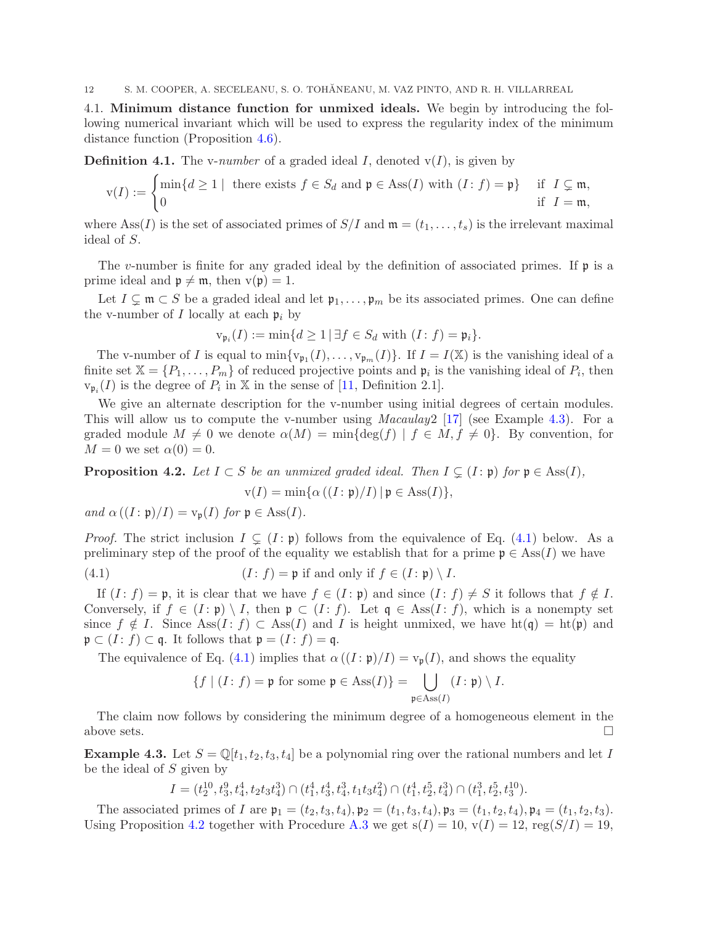4.1. Minimum distance function for unmixed ideals. We begin by introducing the following numerical invariant which will be used to express the regularity index of the minimum distance function (Proposition [4.6\)](#page-12-0).

<span id="page-11-0"></span>**Definition 4.1.** The v-*number* of a graded ideal I, denoted  $v(I)$ , is given by

$$
\mathbf{v}(I) := \begin{cases} \min\{d \ge 1 \mid \text{ there exists } f \in S_d \text{ and } \mathfrak{p} \in \text{Ass}(I) \text{ with } (I : f) = \mathfrak{p}\} & \text{if } I \subsetneq \mathfrak{m}, \\ 0 & \text{if } I = \mathfrak{m}, \end{cases}
$$

where Ass(I) is the set of associated primes of  $S/I$  and  $\mathfrak{m} = (t_1, \ldots, t_s)$  is the irrelevant maximal ideal of S.

The v-number is finite for any graded ideal by the definition of associated primes. If  $\mathfrak p$  is a prime ideal and  $\mathfrak{p} \neq \mathfrak{m}$ , then  $v(\mathfrak{p}) = 1$ .

Let  $I \subsetneq \mathfrak{m} \subset S$  be a graded ideal and let  $\mathfrak{p}_1, \ldots, \mathfrak{p}_m$  be its associated primes. One can define the v-number of I locally at each  $\mathfrak{p}_i$  by

$$
\mathsf{v}_{\mathfrak{p}_i}(I) := \min\{d \geq 1 \,|\, \exists f \in S_d \text{ with } (I \colon f) = \mathfrak{p}_i\}.
$$

The v-number of I is equal to  $\min\{v_{\mathfrak{p}_1}(I), \ldots, v_{\mathfrak{p}_m}(I)\}\)$ . If  $I = I(\mathbb{X})$  is the vanishing ideal of a finite set  $\mathbb{X} = \{P_1, \ldots, P_m\}$  of reduced projective points and  $\mathfrak{p}_i$  is the vanishing ideal of  $P_i$ , then  $v_{\mathfrak{p}_i}(I)$  is the degree of  $P_i$  in X in the sense of [\[11,](#page-24-11) Definition 2.1].

We give an alternate description for the v-number using initial degrees of certain modules. This will allow us to compute the v-number using *Macaulay*2 [\[17\]](#page-24-10) (see Example [4.3\)](#page-11-2). For a graded module  $M \neq 0$  we denote  $\alpha(M) = \min\{\deg(f) | f \in M, f \neq 0\}$ . By convention, for  $M = 0$  we set  $\alpha(0) = 0$ .

<span id="page-11-1"></span>**Proposition 4.2.** Let  $I \subset S$  be an unmixed graded ideal. Then  $I \subsetneq (I : \mathfrak{p})$  for  $\mathfrak{p} \in \text{Ass}(I)$ ,

<span id="page-11-3"></span>
$$
\mathbf{v}(I) = \min\{\alpha\left((I:\mathfrak{p})/I\right)|\mathfrak{p} \in \mathrm{Ass}(I)\},\
$$

*and*  $\alpha((I : \mathfrak{p})/I) = v_{\mathfrak{p}}(I)$  *for*  $\mathfrak{p} \in \text{Ass}(I)$ *.* 

*Proof.* The strict inclusion  $I \subsetneq (I : \mathfrak{p})$  follows from the equivalence of Eq. [\(4.1\)](#page-11-3) below. As a preliminary step of the proof of the equality we establish that for a prime  $\mathfrak{p} \in \text{Ass}(I)$  we have

(4.1) 
$$
(I: f) = \mathfrak{p} \text{ if and only if } f \in (I: \mathfrak{p}) \setminus I.
$$

If  $(I : f) = \mathfrak{p}$ , it is clear that we have  $f \in (I : \mathfrak{p})$  and since  $(I : f) \neq S$  it follows that  $f \notin I$ . Conversely, if  $f \in (I : \mathfrak{p}) \setminus I$ , then  $\mathfrak{p} \subset (I : f)$ . Let  $\mathfrak{q} \in \text{Ass}(I : f)$ , which is a nonempty set since  $f \notin I$ . Since Ass $(I : f) \subset \text{Ass}(I)$  and I is height unmixed, we have  $ht(\mathfrak{q}) = ht(\mathfrak{p})$  and  $\mathfrak{p} \subset (I : f) \subset \mathfrak{q}$ . It follows that  $\mathfrak{p} = (I : f) = \mathfrak{q}$ .

The equivalence of Eq. [\(4.1\)](#page-11-3) implies that  $\alpha((I:\mathfrak{p})/I) = v_{\mathfrak{p}}(I)$ , and shows the equality

$$
\{f \mid (I : f) = \mathfrak{p} \text{ for some } \mathfrak{p} \in \text{Ass}(I)\} = \bigcup_{\mathfrak{p} \in \text{Ass}(I)} (I : \mathfrak{p}) \setminus I.
$$

The claim now follows by considering the minimum degree of a homogeneous element in the above sets.  $\Box$ 

<span id="page-11-2"></span>**Example 4.3.** Let  $S = \mathbb{Q}[t_1, t_2, t_3, t_4]$  be a polynomial ring over the rational numbers and let I be the ideal of  $S$  given by

$$
I = (t_2^{10}, t_3^9, t_4^4, t_2t_3t_4^3) \cap (t_1^4, t_3^4, t_4^3, t_1t_3t_4^2) \cap (t_1^4, t_2^5, t_4^3) \cap (t_1^3, t_2^5, t_3^{10}).
$$

The associated primes of I are  $\mathfrak{p}_1 = (t_2, t_3, t_4), \mathfrak{p}_2 = (t_1, t_3, t_4), \mathfrak{p}_3 = (t_1, t_2, t_4), \mathfrak{p}_4 = (t_1, t_2, t_3).$ Using Proposition [4.2](#page-11-1) together with Procedure [A.3](#page-23-0) we get  $s(I) = 10$ ,  $v(I) = 12$ ,  $reg(S/I) = 19$ ,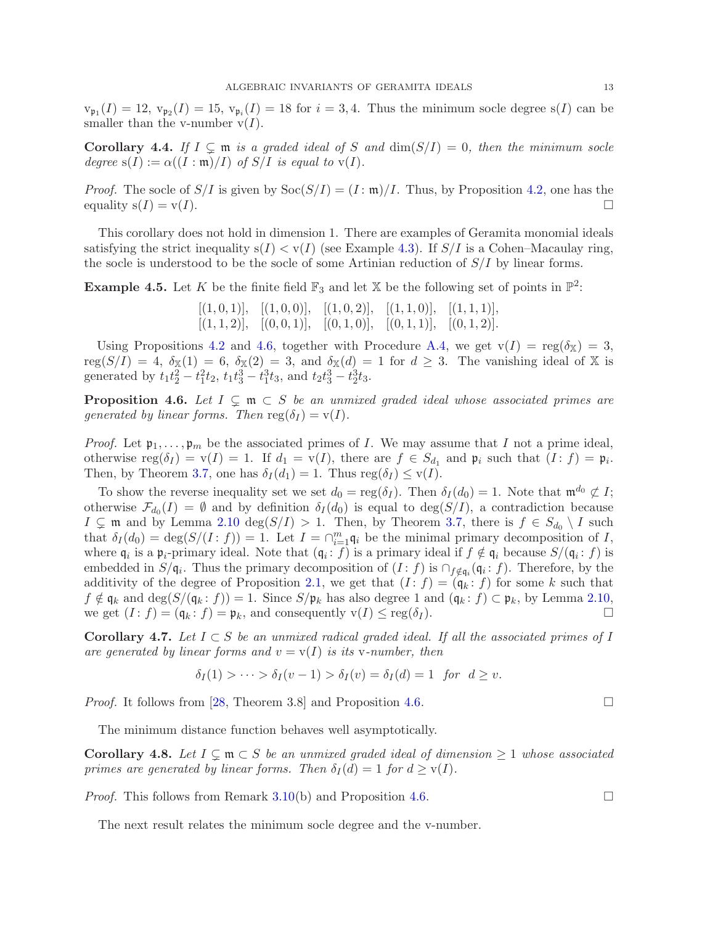$\mathbf{v}_{\mathfrak{p}_1}(I) = 12, \mathbf{v}_{\mathfrak{p}_2}(I) = 15, \mathbf{v}_{\mathfrak{p}_i}(I) = 18$  for  $i = 3, 4$ . Thus the minimum socle degree  $\mathbf{s}(I)$  can be smaller than the v-number  $v(I)$ .

<span id="page-12-2"></span>Corollary 4.4. If  $I \subseteq \mathfrak{m}$  is a graded ideal of S and  $\dim(S/I) = 0$ , then the minimum socle *degree*  $s(I) := \alpha((I : \mathfrak{m})/I)$  *of*  $S/I$  *is equal to*  $v(I)$ *.* 

*Proof.* The socle of  $S/I$  is given by  $Soc(S/I) = (I : \mathfrak{m})/I$ . Thus, by Proposition [4.2,](#page-11-1) one has the equality  $s(I) = v(I)$ .

This corollary does not hold in dimension 1. There are examples of Geramita monomial ideals satisfying the strict inequality  $s(I) < v(I)$  (see Example [4.3\)](#page-11-2). If  $S/I$  is a Cohen–Macaulay ring, the socle is understood to be the socle of some Artinian reduction of  $S/I$  by linear forms.

<span id="page-12-1"></span>**Example 4.5.** Let K be the finite field  $\mathbb{F}_3$  and let X be the following set of points in  $\mathbb{P}^2$ :

 $[(1, 0, 1)], [(1, 0, 0)], [(1, 0, 2)], [(1, 1, 0)], [(1, 1, 1)],$  $[(1, 1, 2)]$ ,  $[(0, 0, 1)]$ ,  $[(0, 1, 0)]$ ,  $[(0, 1, 1)]$ ,  $[(0, 1, 2)]$ .

Using Propositions [4.2](#page-11-1) and [4.6,](#page-12-0) together with Procedure [A.4,](#page-23-1) we get  $v(I) = \text{reg}(\delta_{X}) = 3$ ,  $reg(S/I) = 4$ ,  $\delta_{\mathbb{X}}(1) = 6$ ,  $\delta_{\mathbb{X}}(2) = 3$ , and  $\delta_{\mathbb{X}}(d) = 1$  for  $d \geq 3$ . The vanishing ideal of X is generated by  $t_1 t_2^2 - t_1^2 t_2$ ,  $t_1 t_3^3 - t_1^3 t_3$ , and  $t_2 t_3^3 - t_2^3 t_3$ .

<span id="page-12-0"></span>**Proposition 4.6.** Let  $I \subseteq \mathfrak{m} \subset S$  be an unmixed graded ideal whose associated primes are *generated by linear forms. Then*  $reg(\delta_I) = v(I)$ .

*Proof.* Let  $\mathfrak{p}_1, \ldots, \mathfrak{p}_m$  be the associated primes of I. We may assume that I not a prime ideal, otherwise  $\text{reg}(\delta_I) = \text{v}(I) = 1$ . If  $d_1 = \text{v}(I)$ , there are  $f \in S_{d_1}$  and  $\mathfrak{p}_i$  such that  $(I : f) = \mathfrak{p}_i$ . Then, by Theorem [3.7,](#page-8-2) one has  $\delta_I(d_1) = 1$ . Thus  $reg(\delta_I) \leq v(I)$ .

To show the reverse inequality set we set  $d_0 = \text{reg}(\delta_I)$ . Then  $\delta_I(d_0) = 1$ . Note that  $\mathfrak{m}^{d_0} \not\subset I$ ; otherwise  $\mathcal{F}_{d_0}(I) = \emptyset$  and by definition  $\delta_I(d_0)$  is equal to  $\deg(S/I)$ , a contradiction because  $I \subsetneq \mathfrak{m}$  and by Lemma [2.10](#page-5-2) deg( $S/I$ ) > 1. Then, by Theorem [3.7,](#page-8-2) there is  $f \in S_{d_0} \setminus I$  such that  $\delta_I(d_0) = \deg(S/(I : f)) = 1$ . Let  $I = \bigcap_{i=1}^m \mathfrak{q}_i$  be the minimal primary decomposition of I, where  $\mathfrak{q}_i$  is a  $\mathfrak{p}_i$ -primary ideal. Note that  $(\mathfrak{q}_i : f)$  is a primary ideal if  $f \notin \mathfrak{q}_i$  because  $S/(\mathfrak{q}_i : f)$  is embedded in  $S/\mathfrak{q}_i$ . Thus the primary decomposition of  $(I: f)$  is  $\cap_{f \notin \mathfrak{q}_i} (\mathfrak{q}_i: f)$ . Therefore, by the additivity of the degree of Proposition [2.1,](#page-4-1) we get that  $(I : f) = (\mathfrak{q}_k : f)$  for some k such that  $f \notin \mathfrak{q}_k$  and  $\deg(S/(\mathfrak{q}_k : f)) = 1$ . Since  $S/\mathfrak{p}_k$  has also degree 1 and  $(\mathfrak{q}_k : f) \subset \mathfrak{p}_k$ , by Lemma [2.10,](#page-5-2) we get  $(I : f) = (\mathfrak{q}_k : f) = \mathfrak{p}_k$ , and consequently  $v(I) \leq \text{reg}(\delta_I)$ . we get  $(I : f) = (\mathfrak{q}_k : f) = \mathfrak{p}_k$ , and consequently  $v(I) \leq \text{reg}(\delta_I)$ .

Corollary 4.7. Let  $I \subset S$  *be an unmixed radical graded ideal. If all the associated primes of* I *are generated by linear forms and*  $v = v(I)$  *is its v-number, then* 

$$
\delta_I(1) > \cdots > \delta_I(v-1) > \delta_I(v) = \delta_I(d) = 1 \text{ for } d \ge v.
$$

*Proof.* It follows from [\[28,](#page-24-7) Theorem 3.8] and Proposition [4.6.](#page-12-0) □

The minimum distance function behaves well asymptotically.

**Corollary 4.8.** Let  $I \subseteq \mathfrak{m} \subset S$  be an unmixed graded ideal of dimension  $\geq 1$  whose associated *primes are generated by linear forms. Then*  $\delta_I(d) = 1$  *for*  $d \geq v(I)$ *.* 

*Proof.* This follows from Remark [3.10\(](#page-9-0)b) and Proposition [4.6.](#page-12-0)

The next result relates the minimum socle degree and the v-number.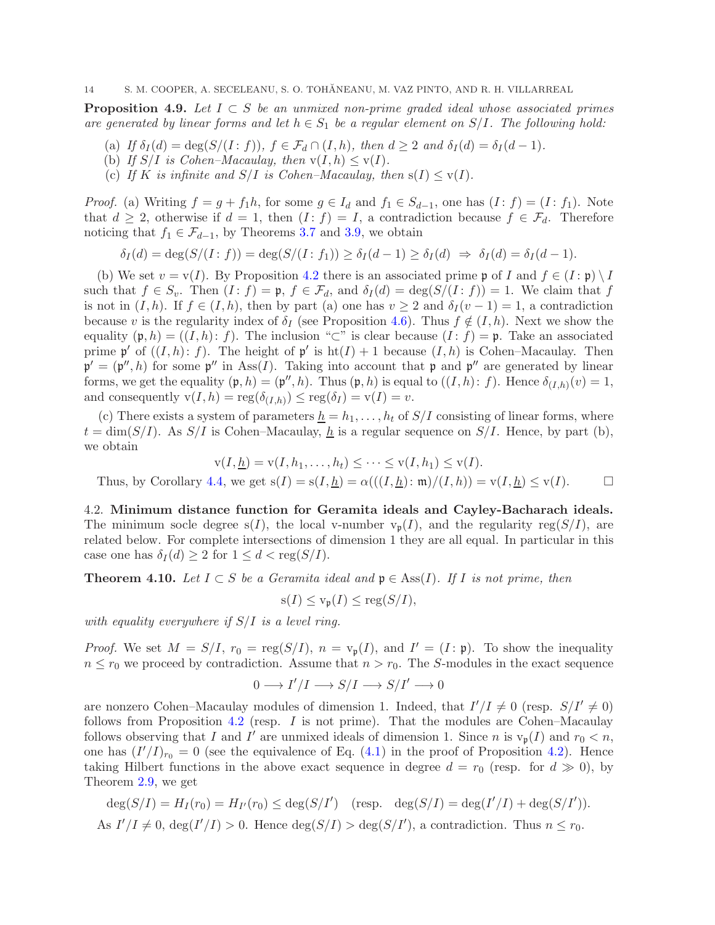<span id="page-13-1"></span>Proposition 4.9. *Let* I ⊂ S *be an unmixed non-prime graded ideal whose associated primes are generated by linear forms and let*  $h \in S_1$  *be a regular element on*  $S/I$ *. The following hold:* 

- (a) *If*  $\delta_I(d) = \deg(S/(I : f))$ *,*  $f \in \mathcal{F}_d \cap (I, h)$ *, then*  $d \geq 2$  *and*  $\delta_I(d) = \delta_I(d-1)$ *.*
- (b) If  $S/I$  is Cohen–Macaulay, then  $v(I, h) \le v(I)$ .
- (c) If K is infinite and  $S/I$  is Cohen–Macaulay, then  $s(I) \leq v(I)$ .

*Proof.* (a) Writing  $f = g + f_1 h$ , for some  $g \in I_d$  and  $f_1 \in S_{d-1}$ , one has  $(I : f) = (I : f_1)$ . Note that  $d \geq 2$ , otherwise if  $d = 1$ , then  $(I : f) = I$ , a contradiction because  $f \in \mathcal{F}_d$ . Therefore noticing that  $f_1 \in \mathcal{F}_{d-1}$ , by Theorems [3.7](#page-8-2) and [3.9,](#page-8-0) we obtain

$$
\delta_I(d) = \deg(S/(I:f)) = \deg(S/(I:f_1)) \ge \delta_I(d-1) \ge \delta_I(d) \Rightarrow \delta_I(d) = \delta_I(d-1).
$$

(b) We set  $v = v(I)$ . By Proposition [4.2](#page-11-1) there is an associated prime p of I and  $f \in (I : \mathfrak{p}) \setminus I$ such that  $f \in S_v$ . Then  $(I : f) = \mathfrak{p}$ ,  $f \in \mathcal{F}_d$ , and  $\delta_I(d) = \deg(S/(I : f)) = 1$ . We claim that f is not in  $(I, h)$ . If  $f \in (I, h)$ , then by part (a) one has  $v \ge 2$  and  $\delta_I(v-1) = 1$ , a contradiction because v is the regularity index of  $\delta_I$  (see Proposition [4.6\)](#page-12-0). Thus  $f \notin (I, h)$ . Next we show the equality  $(\mathfrak{p}, h) = ((I, h): f)$ . The inclusion "⊂" is clear because  $(I: f) = \mathfrak{p}$ . Take an associated prime  $\mathfrak{p}'$  of  $((I, h): f)$ . The height of  $\mathfrak{p}'$  is  $\mathrm{ht}(I) + 1$  because  $(I, h)$  is Cohen-Macaulay. Then  $\mathfrak{p}' = (\mathfrak{p}'', h)$  for some  $\mathfrak{p}''$  in Ass(*I*). Taking into account that  $\mathfrak{p}$  and  $\mathfrak{p}''$  are generated by linear forms, we get the equality  $(\mathfrak{p}, h) = (\mathfrak{p}'', h)$ . Thus  $(\mathfrak{p}, h)$  is equal to  $((I, h): f)$ . Hence  $\delta_{(I, h)}(v) = 1$ , and consequently  $v(I, h) = \text{reg}(\delta_{(I,h)}) \leq \text{reg}(\delta_I) = v(I) = v.$ 

(c) There exists a system of parameters  $\underline{h} = h_1, \ldots, h_t$  of  $S/I$  consisting of linear forms, where  $t = \dim(S/I)$ . As  $S/I$  is Cohen–Macaulay,  $h$  is a regular sequence on  $S/I$ . Hence, by part (b), we obtain

$$
\mathbf{v}(I, \underline{h}) = \mathbf{v}(I, h_1, \dots, h_t) \leq \dots \leq \mathbf{v}(I, h_1) \leq \mathbf{v}(I).
$$

Thus, by Corollary [4.4,](#page-12-2) we get  $s(I) = s(I, h) = \alpha(((I, h) : \mathfrak{m})/(I, h)) = v(I, h) \leq v(I).$ 

4.2. Minimum distance function for Geramita ideals and Cayley-Bacharach ideals. The minimum socle degree  $s(I)$ , the local v-number  $v_p(I)$ , and the regularity reg( $S/I$ ), are related below. For complete intersections of dimension 1 they are all equal. In particular in this case one has  $\delta_I(d) \geq 2$  for  $1 \leq d < \text{reg}(S/I)$ .

<span id="page-13-0"></span>**Theorem 4.10.** Let  $I \subset S$  be a Geramita ideal and  $\mathfrak{p} \in \text{Ass}(I)$ . If I is not prime, then

$$
s(I) \le v_{\mathfrak{p}}(I) \le \text{reg}(S/I),
$$

*with equality everywhere if* S/I *is a level ring.*

*Proof.* We set  $M = S/I$ ,  $r_0 = \text{reg}(S/I)$ ,  $n = v_p(I)$ , and  $I' = (I : \mathfrak{p})$ . To show the inequality  $n \leq r_0$  we proceed by contradiction. Assume that  $n > r_0$ . The S-modules in the exact sequence

$$
0 \longrightarrow I'/I \longrightarrow S/I \longrightarrow S/I' \longrightarrow 0
$$

are nonzero Cohen–Macaulay modules of dimension 1. Indeed, that  $I'/I \neq 0$  (resp.  $S/I' \neq 0$ ) follows from Proposition [4.2](#page-11-1) (resp.  $I$  is not prime). That the modules are Cohen–Macaulay follows observing that I and I' are unmixed ideals of dimension 1. Since n is  $v_{\mathfrak{p}}(I)$  and  $r_0 < n$ , one has  $(I'/I)_{r_0} = 0$  (see the equivalence of Eq. [\(4.1\)](#page-11-3) in the proof of Proposition [4.2\)](#page-11-1). Hence taking Hilbert functions in the above exact sequence in degree  $d = r_0$  (resp. for  $d \gg 0$ ), by Theorem [2.9,](#page-5-3) we get

$$
\deg(S/I) = H_I(r_0) = H_{I'}(r_0) \le \deg(S/I')
$$
 (resp.  $\deg(S/I) = \deg(I'/I) + \deg(S/I')$ ).  
As  $I'/I \ne 0$ ,  $\deg(I'/I) > 0$ . Hence  $\deg(S/I) > \deg(S/I')$ , a contradiction. Thus  $n \le r_0$ .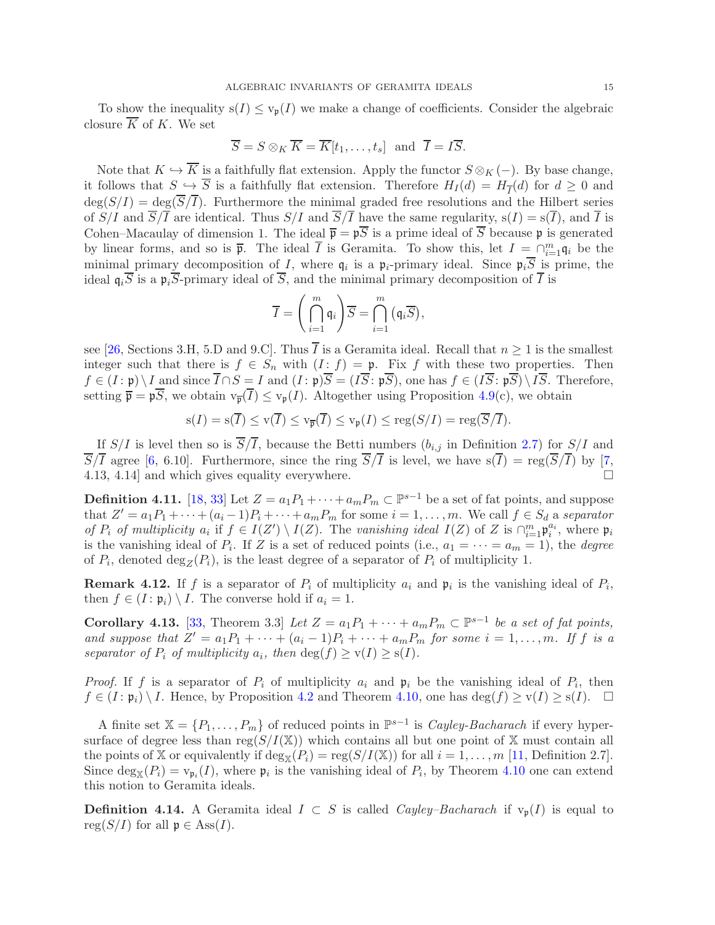To show the inequality  $s(I) \leq v_p(I)$  we make a change of coefficients. Consider the algebraic closure  $\overline{K}$  of K. We set

$$
\overline{S} = S \otimes_K \overline{K} = \overline{K}[t_1, \dots, t_s] \text{ and } \overline{I} = I\overline{S}.
$$

Note that  $K \hookrightarrow \overline{K}$  is a faithfully flat extension. Apply the functor  $S \otimes_K (-)$ . By base change, it follows that  $S \to S$  is a faithfully flat extension. Therefore  $H_I(d) = H_{\overline{I}}(d)$  for  $d \geq 0$  and  $\deg(S/I) = \deg(\overline{S}/\overline{I}).$  Furthermore the minimal graded free resolutions and the Hilbert series of  $S/I$  and  $\overline{S}/\overline{I}$  are identical. Thus  $S/I$  and  $\overline{S}/\overline{I}$  have the same regularity,  $s(I) = s(\overline{I})$ , and  $\overline{I}$  is Cohen–Macaulay of dimension 1. The ideal  $\overline{\mathfrak{p}} = \mathfrak{p}\overline{S}$  is a prime ideal of  $\overline{S}$  because  $\mathfrak{p}$  is generated by linear forms, and so is  $\bar{\mathfrak{p}}$ . The ideal  $\bar{I}$  is Geramita. To show this, let  $I = \bigcap_{i=1}^{m} q_i$  be the minimal primary decomposition of I, where  $q_i$  is a  $p_i$ -primary ideal. Since  $p_iS$  is prime, the ideal  $\mathfrak{q}_i\overline{S}$  is a  $\mathfrak{p}_i\overline{S}$ -primary ideal of  $\overline{S}$ , and the minimal primary decomposition of  $\overline{I}$  is

$$
\overline{I} = \left(\bigcap_{i=1}^{m} \mathfrak{q}_i\right) \overline{S} = \bigcap_{i=1}^{m} \left(\mathfrak{q}_i \overline{S}\right),
$$

see [\[26,](#page-24-22) Sections 3.H, 5.D and 9.C]. Thus  $\overline{I}$  is a Geramita ideal. Recall that  $n \geq 1$  is the smallest integer such that there is  $f \in S_n$  with  $(I : f) = \mathfrak{p}$ . Fix f with these two properties. Then  $f \in (I : \mathfrak{p}) \setminus I$  and since  $\overline{I} \cap S = I$  and  $(I : \mathfrak{p})\overline{S} = (I\overline{S} : \mathfrak{p}\overline{S})$ , one has  $f \in (I\overline{S} : \mathfrak{p}\overline{S}) \setminus I\overline{S}$ . Therefore, setting  $\overline{\mathfrak{p}} = \mathfrak{p} S$ , we obtain  $v_{\overline{\mathfrak{p}}}(I) \le v_{\mathfrak{p}}(I)$ . Altogether using Proposition [4.9\(](#page-13-1)c), we obtain

$$
s(I) = s(\overline{I}) \le v(\overline{I}) \le v_{\overline{\mathfrak{p}}}(\overline{I}) \le v_{\mathfrak{p}}(I) \le \text{reg}(S/I) = \text{reg}(\overline{S}/\overline{I}).
$$

If  $S/I$  is level then so is  $\overline{S}/\overline{I}$ , because the Betti numbers  $(b_{i,j}$  in Definition [2.7\)](#page-5-0) for  $S/I$  and  $\overline{S}/\overline{I}$  agree [\[6,](#page-24-15) 6.10]. Furthermore, since the ring  $\overline{S}/\overline{I}$  is level, we have  $s(\overline{I}) = \text{reg}(\overline{S}/\overline{I})$  by [\[7,](#page-24-19) 4.13, 4.14] and which gives equality everywhere.

**Definition 4.11.** [\[18,](#page-24-23) [33\]](#page-25-1) Let  $Z = a_1 P_1 + \cdots + a_m P_m \subset \mathbb{P}^{s-1}$  be a set of fat points, and suppose that  $Z' = a_1 P_1 + \cdots + (a_i - 1)P_i + \cdots + a_m P_m$  for some  $i = 1, \ldots, m$ . We call  $f \in S_d$  a *separator of*  $P_i$  *of multiplicity*  $a_i$  if  $f \in I(Z') \setminus I(Z)$ . The *vanishing ideal*  $I(Z)$  of Z is  $\bigcap_{i=1}^m \mathfrak{p}_i^{a_i}$ , where  $\mathfrak{p}_i$ is the vanishing ideal of  $P_i$ . If Z is a set of reduced points (i.e.,  $a_1 = \cdots = a_m = 1$ ), the *degree* of  $P_i$ , denoted  $\deg_Z(P_i)$ , is the least degree of a separator of  $P_i$  of multiplicity 1.

**Remark 4.12.** If f is a separator of  $P_i$  of multiplicity  $a_i$  and  $\mathfrak{p}_i$  is the vanishing ideal of  $P_i$ , then  $f \in (I : \mathfrak{p}_i) \setminus I$ . The converse hold if  $a_i = 1$ .

**Corollary 4.13.** [\[33,](#page-25-1) Theorem 3.3] *Let*  $Z = a_1 P_1 + \cdots + a_m P_m \subset \mathbb{P}^{s-1}$  *be a set of fat points,* and suppose that  $Z' = a_1 P_1 + \cdots + (a_i - 1)P_i + \cdots + a_m P_m$  for some  $i = 1, \ldots, m$ . If f is a separator of  $P_i$  of multiplicity  $a_i$ , then  $\deg(f) \geq v(I) \geq s(I)$ .

*Proof.* If f is a separator of  $P_i$  of multiplicity  $a_i$  and  $\mathfrak{p}_i$  be the vanishing ideal of  $P_i$ , then  $f \in (I : \mathfrak{p}_i) \setminus I$ . Hence, by Proposition [4.2](#page-11-1) and Theorem [4.10,](#page-13-0) one has  $\deg(f) \geq v(I) \geq s(I)$ .  $\Box$ 

A finite set  $\mathbb{X} = \{P_1, \ldots, P_m\}$  of reduced points in  $\mathbb{P}^{s-1}$  is *Cayley-Bacharach* if every hypersurface of degree less than reg( $S/I(X)$ ) which contains all but one point of X must contain all the points of X or equivalently if  $\deg_{\mathbb{X}}(P_i) = \text{reg}(S/I(\mathbb{X}))$  for all  $i = 1, \ldots, m$  [\[11,](#page-24-11) Definition 2.7]. Since  $\deg_{\mathbb{X}}(P_i) = \mathsf{v}_{\mathfrak{p}_i}(I)$ , where  $\mathfrak{p}_i$  is the vanishing ideal of  $P_i$ , by Theorem [4.10](#page-13-0) one can extend this notion to Geramita ideals.

<span id="page-14-0"></span>**Definition 4.14.** A Geramita ideal  $I \subset S$  is called *Cayley–Bacharach* if  $v_p(I)$  is equal to  $reg(S/I)$  for all  $\mathfrak{p} \in Ass(I)$ .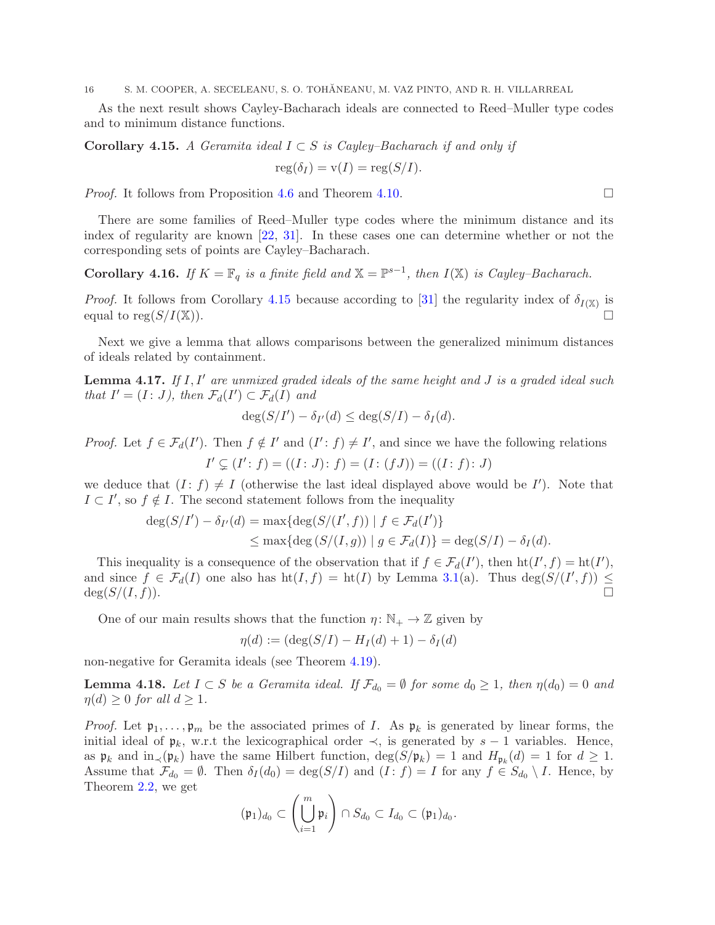As the next result shows Cayley-Bacharach ideals are connected to Reed–Muller type codes and to minimum distance functions.

<span id="page-15-0"></span>Corollary 4.15. *A Geramita ideal*  $I ⊂ S$  *is Cayley–Bacharach if and only if* 

$$
reg(\delta_I) = v(I) = reg(S/I).
$$

*Proof.* It follows from Proposition [4.6](#page-12-0) and Theorem [4.10.](#page-13-0) □

There are some families of Reed–Muller type codes where the minimum distance and its index of regularity are known [\[22,](#page-24-24) [31\]](#page-24-25). In these cases one can determine whether or not the corresponding sets of points are Cayley–Bacharach.

Corollary 4.16. *If*  $K = \mathbb{F}_q$  *is a finite field and*  $\mathbb{X} = \mathbb{P}^{s-1}$ *, then*  $I(\mathbb{X})$  *is Cayley–Bacharach.* 

*Proof.* It follows from Corollary [4.15](#page-15-0) because according to [\[31\]](#page-24-25) the regularity index of  $\delta_{I(X)}$  is equal to reg $(S/I(\mathbb{X}))$ .

Next we give a lemma that allows comparisons between the generalized minimum distances of ideals related by containment.

<span id="page-15-1"></span>Lemma 4.17. *If* I, I′ *are unmixed graded ideals of the same height and* J *is a graded ideal such that*  $I' = (I : J)$ *, then*  $\mathcal{F}_d(I') \subset \mathcal{F}_d(I)$  *and* 

$$
\deg(S/I') - \delta_{I'}(d) \leq \deg(S/I) - \delta_I(d).
$$

*Proof.* Let  $f \in \mathcal{F}_d(I')$ . Then  $f \notin I'$  and  $(I': f) \neq I'$ , and since we have the following relations  $I' \subsetneq (I': f) = ((I: J): f) = (I: (fJ)) = ((I: f): J)$ 

we deduce that  $(I : f) \neq I$  (otherwise the last ideal displayed above would be I'). Note that  $I \subset I'$ , so  $f \notin I$ . The second statement follows from the inequality

$$
\begin{aligned} \deg(S/I') - \delta_{I'}(d) &= \max\{\deg(S/(I',f)) \mid f \in \mathcal{F}_d(I')\} \\ &\le \max\{\deg(S/(I,g)) \mid g \in \mathcal{F}_d(I)\} = \deg(S/I) - \delta_I(d). \end{aligned}
$$

This inequality is a consequence of the observation that if  $f \in \mathcal{F}_d(I')$ , then  $\text{ht}(I', f) = \text{ht}(I')$ , and since  $f \in \mathcal{F}_d(I)$  one also has  $ht(I, f) = ht(I)$  by Lemma [3.1\(](#page-7-1)a). Thus  $deg(S/(I', f)) \le$  $deg(S/(I, f)).$ 

One of our main results shows that the function  $\eta: \mathbb{N}_+ \to \mathbb{Z}$  given by

$$
\eta(d) := (\deg(S/I) - H_I(d) + 1) - \delta_I(d)
$$

non-negative for Geramita ideals (see Theorem [4.19\)](#page-16-0).

**Lemma 4.18.** Let  $I \subset S$  be a Geramita ideal. If  $\mathcal{F}_{d_0} = \emptyset$  for some  $d_0 \geq 1$ , then  $\eta(d_0) = 0$  and  $\eta(d) \geq 0$  *for all*  $d \geq 1$ *.* 

*Proof.* Let  $\mathfrak{p}_1, \ldots, \mathfrak{p}_m$  be the associated primes of I. As  $\mathfrak{p}_k$  is generated by linear forms, the initial ideal of  $\mathfrak{p}_k$ , w.r.t the lexicographical order  $\prec$ , is generated by s – 1 variables. Hence, as  $\mathfrak{p}_k$  and  $\text{in}_{\prec}(\mathfrak{p}_k)$  have the same Hilbert function,  $\deg(S/\mathfrak{p}_k) = 1$  and  $H_{\mathfrak{p}_k}(d) = 1$  for  $d \geq 1$ . Assume that  $\mathcal{F}_{d_0} = \emptyset$ . Then  $\delta_I(d_0) = \deg(S/I)$  and  $(I : f) = I$  for any  $f \in S_{d_0} \setminus I$ . Hence, by Theorem [2.2,](#page-5-1) we get

$$
(\mathfrak{p}_1)_{d_0}\subset \left(\bigcup_{i=1}^m \mathfrak{p}_i\right)\cap S_{d_0}\subset I_{d_0}\subset (\mathfrak{p}_1)_{d_0}.
$$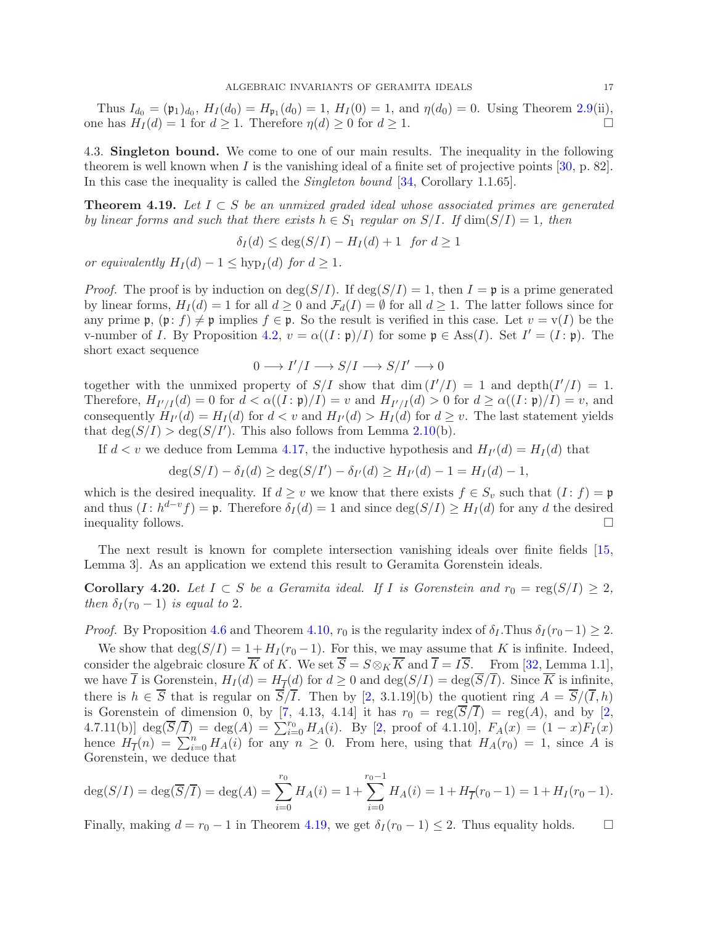Thus  $I_{d_0} = (\mathfrak{p}_1)_{d_0}$ ,  $H_I(d_0) = H_{\mathfrak{p}_1}(d_0) = 1$ ,  $H_I(0) = 1$ , and  $\eta(d_0) = 0$ . Using Theorem [2.9\(](#page-5-3)ii), one has  $H_I(d) = 1$  for  $d \ge 1$ . Therefore  $\eta(d) \ge 0$  for  $d \ge 1$ .

4.3. Singleton bound. We come to one of our main results. The inequality in the following theorem is well known when I is the vanishing ideal of a finite set of projective points  $[30, p. 82]$ . In this case the inequality is called the *Singleton bound* [\[34,](#page-25-2) Corollary 1.1.65].

<span id="page-16-0"></span>Theorem 4.19. *Let* I ⊂ S *be an unmixed graded ideal whose associated primes are generated by linear forms and such that there exists*  $h \in S_1$  *regular on*  $S/I$ *. If*  $\dim(S/I) = 1$ *, then* 

 $\delta_I(d) \leq \deg(S/I) - H_I(d) + 1$  *for*  $d \geq 1$ 

*or equivalently*  $H_I(d) - 1 \leq \text{hyp}_I(d)$  *for*  $d \geq 1$ *.* 

*Proof.* The proof is by induction on  $\deg(S/I)$ . If  $\deg(S/I) = 1$ , then  $I = \mathfrak{p}$  is a prime generated by linear forms,  $H_I(d) = 1$  for all  $d \geq 0$  and  $\mathcal{F}_d(I) = \emptyset$  for all  $d \geq 1$ . The latter follows since for any prime  $\mathfrak{p}$ ,  $(\mathfrak{p}: f) \neq \mathfrak{p}$  implies  $f \in \mathfrak{p}$ . So the result is verified in this case. Let  $v = v(I)$  be the v-number of I. By Proposition [4.2,](#page-11-1)  $v = \alpha((I : \mathfrak{p})/I)$  for some  $\mathfrak{p} \in \text{Ass}(I)$ . Set  $I' = (I : \mathfrak{p})$ . The short exact sequence

$$
0\longrightarrow I'/I\longrightarrow S/I\longrightarrow S/I'\longrightarrow 0
$$

together with the unmixed property of  $S/I$  show that  $\dim(I'/I) = 1$  and  $\text{depth}(I'/I) = 1$ . Therefore,  $H_{I'/I}(d) = 0$  for  $d < \alpha((I : \mathfrak{p})/I) = v$  and  $H_{I'/I}(d) > 0$  for  $d \geq \alpha((I : \mathfrak{p})/I) = v$ , and consequently  $H_{I'}(d) = H_I(d)$  for  $d < v$  and  $H_{I'}(d) > H_I(d)$  for  $d \ge v$ . The last statement yields that  $deg(S/I) > deg(S/I')$ . This also follows from Lemma [2.10\(](#page-5-2)b).

If  $d < v$  we deduce from Lemma [4.17,](#page-15-1) the inductive hypothesis and  $H_{I'}(d) = H_I(d)$  that

$$
\deg(S/I) - \delta_I(d) \ge \deg(S/I') - \delta_{I'}(d) \ge H_{I'}(d) - 1 = H_I(d) - 1,
$$

which is the desired inequality. If  $d \geq v$  we know that there exists  $f \in S_v$  such that  $(I : f) = \mathfrak{p}$ and thus  $(I : h^{d-v} f) = \mathfrak{p}$ . Therefore  $\delta_I(d) = 1$  and since  $\deg(S/I) \geq H_I(d)$  for any d the desired inequality follows.

The next result is known for complete intersection vanishing ideals over finite fields [\[15,](#page-24-26) Lemma 3]. As an application we extend this result to Geramita Gorenstein ideals.

<span id="page-16-1"></span>**Corollary 4.20.** Let  $I \subset S$  be a Geramita ideal. If I is Gorenstein and  $r_0 = \text{reg}(S/I) \geq 2$ , *then*  $\delta_I(r_0-1)$  *is equal to* 2*.* 

*Proof.* By Proposition [4.6](#page-12-0) and Theorem [4.10,](#page-13-0)  $r_0$  is the regularity index of  $\delta_I$ . Thus  $\delta_I(r_0-1) \geq 2$ .

We show that  $\deg(S/I) = 1 + H_I(r_0 - 1)$ . For this, we may assume that K is infinite. Indeed, consider the algebraic closure  $\overline{K}$  of K. We set  $\overline{S} = S \otimes_K \overline{K}$  and  $\overline{I} = I\overline{S}$ . From [\[32,](#page-25-3) Lemma 1.1], we have I is Gorenstein,  $H_I(d) = H_{\overline{I}}(d)$  for  $d \geq 0$  and  $\deg(S/I) = \deg(S/I)$ . Since K is infinite, there is  $h \in \overline{S}$  that is regular on  $\overline{S}/\overline{I}$ . Then by [\[2,](#page-24-27) 3.1.19](b) the quotient ring  $A = \overline{S}/(\overline{I}, h)$ is Gorenstein of dimension 0, by [\[7,](#page-24-19) 4.13, 4.14] it has  $r_0 = \text{reg}(\overline{S}/\overline{I}) = \text{reg}(A)$ , and by [\[2,](#page-24-27) 4.7.11(b)]  $\deg(\overline{S}/\overline{I}) = \deg(A) = \sum_{i=0}^{r_0} H_A(i)$ . By [\[2,](#page-24-27) proof of 4.1.10],  $F_A(x) = (1-x)F_I(x)$ hence  $H_{\overline{I}}(n) = \sum_{i=0}^{n} H_{A}(i)$  for any  $n \ge 0$ . From here, using that  $H_{A}(r_{0}) = 1$ , since A is Gorenstein, we deduce that

$$
\deg(S/I) = \deg(\overline{S}/\overline{I}) = \deg(A) = \sum_{i=0}^{r_0} H_A(i) = 1 + \sum_{i=0}^{r_0 - 1} H_A(i) = 1 + H_{\overline{I}}(r_0 - 1) = 1 + H_I(r_0 - 1).
$$

Finally, making  $d = r_0 - 1$  in Theorem [4.19,](#page-16-0) we get  $\delta_I(r_0 - 1) \leq 2$ . Thus equality holds.  $\square$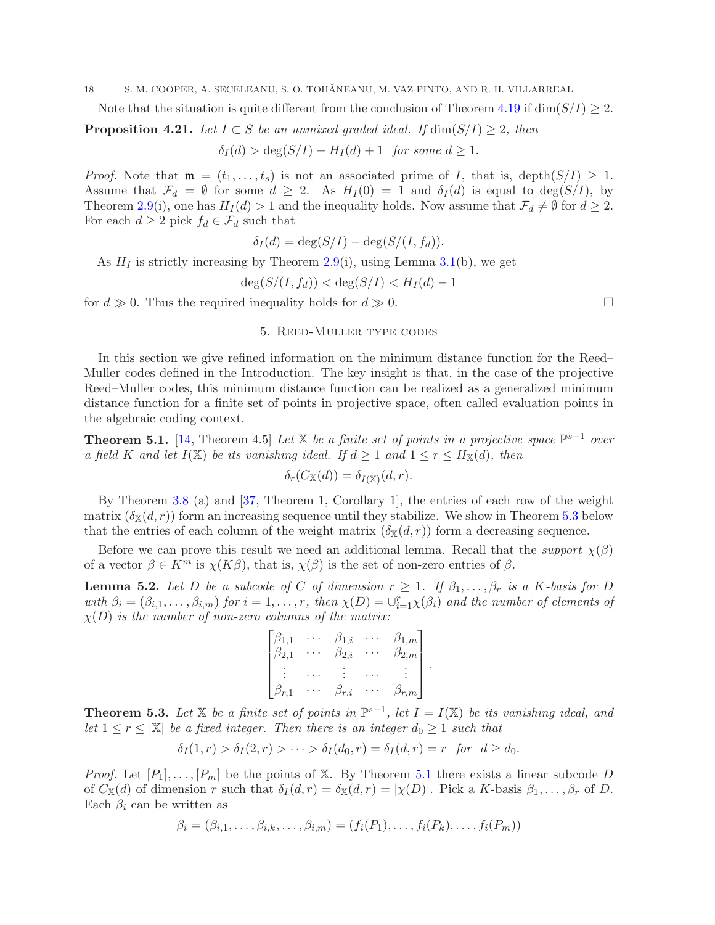Note that the situation is quite different from the conclusion of Theorem [4.19](#page-16-0) if  $\dim(S/I) \geq 2$ .

<span id="page-17-1"></span>**Proposition 4.21.** *Let*  $I \subset S$  *be an unmixed graded ideal. If*  $\dim(S/I) \geq 2$ *, then* 

$$
\delta_I(d) > \deg(S/I) - H_I(d) + 1 \text{ for some } d \ge 1.
$$

*Proof.* Note that  $\mathfrak{m} = (t_1, \ldots, t_s)$  is not an associated prime of I, that is, depth $(S/I) \geq 1$ . Assume that  $\mathcal{F}_d = \emptyset$  for some  $d \geq 2$ . As  $H_I(0) = 1$  and  $\delta_I(d)$  is equal to  $\deg(S/I)$ , by Theorem [2.9\(](#page-5-3)i), one has  $H_I(d) > 1$  and the inequality holds. Now assume that  $\mathcal{F}_d \neq \emptyset$  for  $d \geq 2$ . For each  $d \geq 2$  pick  $f_d \in \mathcal{F}_d$  such that

$$
\delta_I(d) = \deg(S/I) - \deg(S/(I, f_d)).
$$

As  $H_I$  is strictly increasing by Theorem [2.9\(](#page-5-3)i), using Lemma [3.1\(](#page-7-1)b), we get

$$
\deg(S/(I, f_d)) < \deg(S/I) < H_I(d) - 1
$$

<span id="page-17-0"></span>for  $d \gg 0$ . Thus the required inequality holds for  $d \gg 0$ .

## 5. Reed-Muller type codes

In this section we give refined information on the minimum distance function for the Reed– Muller codes defined in the Introduction. The key insight is that, in the case of the projective Reed–Muller codes, this minimum distance function can be realized as a generalized minimum distance function for a finite set of points in projective space, often called evaluation points in the algebraic coding context.

<span id="page-17-3"></span>**Theorem 5.1.** [\[14,](#page-24-5) Theorem 4.5] *Let*  $\mathbb{X}$  *be a finite set of points in a projective space*  $\mathbb{P}^{s-1}$  *over a* field K and let  $I(\mathbb{X})$  be its vanishing ideal. If  $d \geq 1$  and  $1 \leq r \leq H_{\mathbb{X}}(d)$ , then

$$
\delta_r(C_{\mathbb{X}}(d)) = \delta_{I(\mathbb{X})}(d, r).
$$

By Theorem [3.8](#page-8-3) (a) and [\[37,](#page-25-0) Theorem 1, Corollary 1], the entries of each row of the weight matrix  $(\delta_{\mathbb{X}}(d, r))$  form an increasing sequence until they stabilize. We show in Theorem [5.3](#page-17-2) below that the entries of each column of the weight matrix  $(\delta_{\mathbb{X}}(d, r))$  form a decreasing sequence.

Before we can prove this result we need an additional lemma. Recall that the *support*  $\chi(\beta)$ of a vector  $\beta \in K^m$  is  $\chi(K\beta)$ , that is,  $\chi(\beta)$  is the set of non-zero entries of  $\beta$ .

<span id="page-17-4"></span>**Lemma 5.2.** Let D be a subcode of C of dimension  $r \geq 1$ . If  $\beta_1, \ldots, \beta_r$  is a K-basis for D  $with \beta_i = (\beta_{i,1}, \ldots, \beta_{i,m})$  *for*  $i = 1, \ldots, r$ *, then*  $\chi(D) = \bigcup_{i=1}^r \chi(\beta_i)$  *and the number of elements of*  $\chi(D)$  *is the number of non-zero columns of the matrix:* 

$$
\begin{bmatrix}\n\beta_{1,1} & \cdots & \beta_{1,i} & \cdots & \beta_{1,m} \\
\beta_{2,1} & \cdots & \beta_{2,i} & \cdots & \beta_{2,m} \\
\vdots & \cdots & \vdots & \cdots & \vdots \\
\beta_{r,1} & \cdots & \beta_{r,i} & \cdots & \beta_{r,m}\n\end{bmatrix}.
$$

<span id="page-17-2"></span>**Theorem 5.3.** Let  $X$  be a finite set of points in  $\mathbb{P}^{s-1}$ , let  $I = I(X)$  be its vanishing ideal, and *let*  $1 \leq r \leq |\mathbb{X}|$  *be a fixed integer. Then there is an integer*  $d_0 \geq 1$  *such that* 

$$
\delta_I(1,r) > \delta_I(2,r) > \cdots > \delta_I(d_0,r) = \delta_I(d,r) = r \text{ for } d \geq d_0.
$$

*Proof.* Let  $[P_1], \ldots, [P_m]$  be the points of X. By Theorem [5.1](#page-17-3) there exists a linear subcode D of  $C_{\mathbb{X}}(d)$  of dimension r such that  $\delta_I(d, r) = \delta_{\mathbb{X}}(d, r) = |\chi(D)|$ . Pick a K-basis  $\beta_1, \ldots, \beta_r$  of D. Each  $\beta_i$  can be written as

$$
\beta_i = (\beta_{i,1}, \dots, \beta_{i,k}, \dots, \beta_{i,m}) = (f_i(P_1), \dots, f_i(P_k), \dots, f_i(P_m))
$$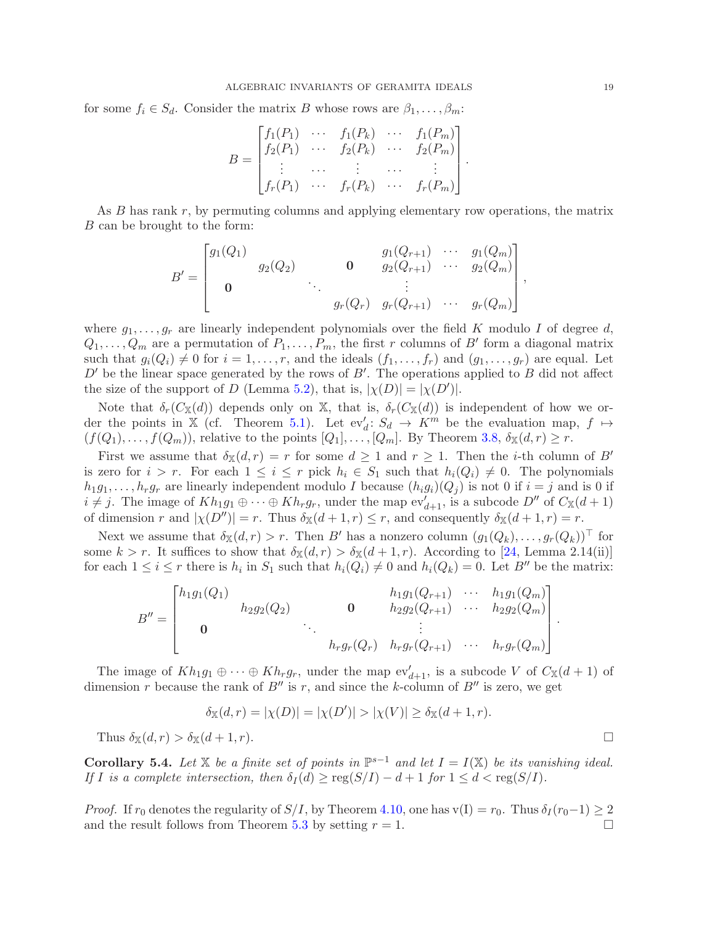for some  $f_i \in S_d$ . Consider the matrix B whose rows are  $\beta_1, \ldots, \beta_m$ :

$$
B = \begin{bmatrix} f_1(P_1) & \cdots & f_1(P_k) & \cdots & f_1(P_m) \\ f_2(P_1) & \cdots & f_2(P_k) & \cdots & f_2(P_m) \\ \vdots & \cdots & \vdots & \cdots & \vdots \\ f_r(P_1) & \cdots & f_r(P_k) & \cdots & f_r(P_m) \end{bmatrix}
$$

.

As B has rank r, by permuting columns and applying elementary row operations, the matrix B can be brought to the form:

$$
B' = \begin{bmatrix} g_1(Q_1) & g_2(Q_2) & 0 & g_1(Q_{r+1}) & \cdots & g_1(Q_m) \\ 0 & \ddots & \ddots & \vdots & \vdots \\ 0 & \ddots & \ddots & g_r(Q_r) & g_r(Q_{r+1}) & \cdots & g_r(Q_m) \end{bmatrix},
$$

where  $g_1, \ldots, g_r$  are linearly independent polynomials over the field K modulo I of degree d,  $Q_1, \ldots, Q_m$  are a permutation of  $P_1, \ldots, P_m$ , the first r columns of B' form a diagonal matrix such that  $g_i(Q_i) \neq 0$  for  $i = 1, \ldots, r$ , and the ideals  $(f_1, \ldots, f_r)$  and  $(g_1, \ldots, g_r)$  are equal. Let  $D'$  be the linear space generated by the rows of  $B'$ . The operations applied to  $B$  did not affect the size of the support of D (Lemma [5.2\)](#page-17-4), that is,  $|\chi(D)| = |\chi(D')|$ .

Note that  $\delta_r(C_{\mathbb{X}}(d))$  depends only on X, that is,  $\delta_r(C_{\mathbb{X}}(d))$  is independent of how we or-der the points in X (cf. Theorem [5.1\)](#page-17-3). Let  $ev'_d: S_d \to K^m$  be the evaluation map,  $f \mapsto$  $(f(Q_1),..., f(Q_m))$ , relative to the points  $[Q_1],..., [Q_m]$ . By Theorem [3.8,](#page-8-3)  $\delta_{\mathbb{X}}(d,r) \geq r$ .

First we assume that  $\delta_{\mathbb{X}}(d,r) = r$  for some  $d \geq 1$  and  $r \geq 1$ . Then the *i*-th column of B' is zero for  $i > r$ . For each  $1 \leq i \leq r$  pick  $h_i \in S_1$  such that  $h_i(Q_i) \neq 0$ . The polynomials  $h_1g_1,\ldots,h_rg_r$  are linearly independent modulo I because  $(h_ig_i)(Q_j)$  is not 0 if  $i=j$  and is 0 if  $i \neq j$ . The image of  $Kh_1g_1 \oplus \cdots \oplus Kh_rg_r$ , under the map  $ev'_{d+1}$ , is a subcode  $D''$  of  $C_{\mathbb{X}}(d+1)$ of dimension r and  $|\chi(D'')| = r$ . Thus  $\delta_{\mathbb{X}}(d+1,r) \leq r$ , and consequently  $\delta_{\mathbb{X}}(d+1,r) = r$ .

Next we assume that  $\delta_{\mathbb{X}}(d, r) > r$ . Then B' has a nonzero column  $(g_1(Q_k), \ldots, g_r(Q_k))^{\top}$  for some  $k > r$ . It suffices to show that  $\delta_{\mathbb{X}}(d, r) > \delta_{\mathbb{X}}(d + 1, r)$ . According to [\[24,](#page-24-6) Lemma 2.14(ii)] for each  $1 \leq i \leq r$  there is  $h_i$  in  $S_1$  such that  $h_i(Q_i) \neq 0$  and  $h_i(Q_k) = 0$ . Let  $B''$  be the matrix:

$$
B'' = \begin{bmatrix} h_1g_1(Q_1) & h_2g_2(Q_2) & \mathbf{0} & h_1g_1(Q_{r+1}) & \cdots & h_1g_1(Q_m) \\ \mathbf{0} & \mathbf{0} & \mathbf{0} & \mathbf{0} & \vdots & \vdots \\ \mathbf{0} & \cdots & \mathbf{0} & \mathbf{0} & \mathbf{0} & \mathbf{0} \\ \vdots & \vdots & \ddots & \vdots & \vdots & \vdots \\ \mathbf{0} & \mathbf{0} & \mathbf{0} & \mathbf{0} & \mathbf{0} & \mathbf{0} & \mathbf{0} \end{bmatrix}.
$$

The image of  $Kh_1g_1 \oplus \cdots \oplus Kh_rg_r$ , under the map  $ev'_{d+1}$ , is a subcode V of  $C_{\mathbb{X}}(d+1)$  of dimension r because the rank of  $B''$  is r, and since the k-column of  $B''$  is zero, we get

$$
\delta_{\mathbb{X}}(d,r) = |\chi(D)| = |\chi(D')| > |\chi(V)| \ge \delta_{\mathbb{X}}(d+1,r).
$$

Thus  $\delta_{\mathbb{X}}(d, r) > \delta_{\mathbb{X}}(d+1, r).$ 

<span id="page-18-0"></span>Corollary 5.4. Let  $X$  be a finite set of points in  $\mathbb{P}^{s-1}$  and let  $I = I(X)$  be its vanishing ideal. *If I is a complete intersection, then*  $\delta_I(d) \geq \text{reg}(S/I) - d + 1$  *for*  $1 \leq d < \text{reg}(S/I)$ *.* 

*Proof.* If  $r_0$  denotes the regularity of  $S/I$ , by Theorem [4.10,](#page-13-0) one has  $v(I) = r_0$ . Thus  $\delta_I(r_0-1) \geq 2$  and the result follows from Theorem 5.3 by setting  $r = 1$ and the result follows from Theorem [5.3](#page-17-2) by setting  $r = 1$ .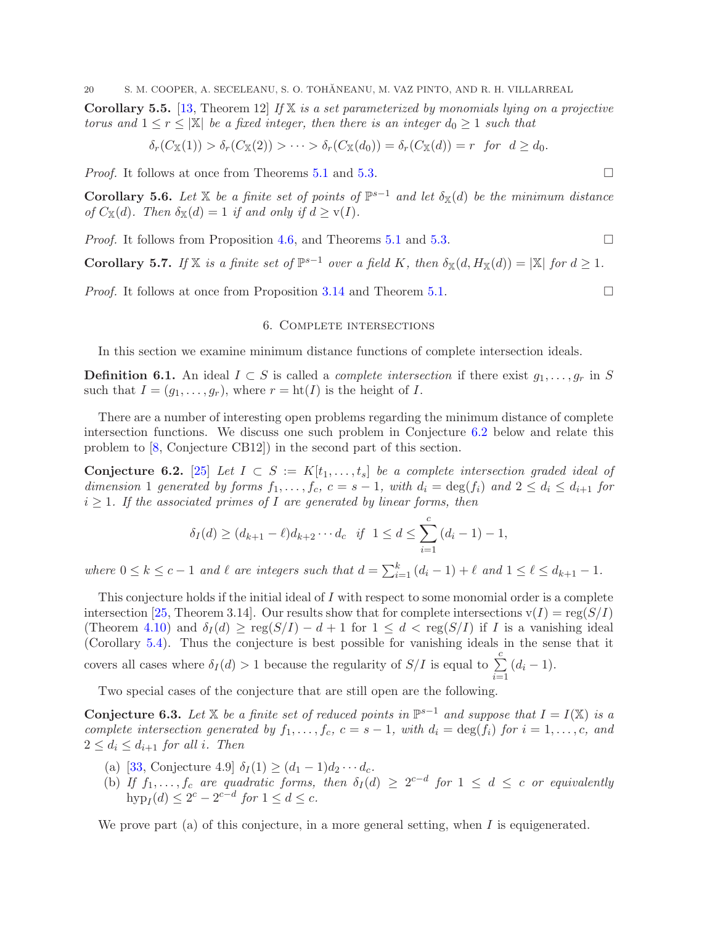Corollary 5.5. [\[13,](#page-24-12) Theorem 12] *If* X *is a set parameterized by monomials lying on a projective torus and*  $1 \leq r \leq |\mathbb{X}|$  *be a fixed integer, then there is an integer*  $d_0 \geq 1$  *such that* 

$$
\delta_r(C_{\mathbb{X}}(1)) > \delta_r(C_{\mathbb{X}}(2)) > \cdots > \delta_r(C_{\mathbb{X}}(d_0)) = \delta_r(C_{\mathbb{X}}(d)) = r \ \ \text{for} \ \ d \geq d_0.
$$

*Proof.* It follows at once from Theorems [5.1](#page-17-3) and [5.3.](#page-17-2) □

<span id="page-19-0"></span>**Corollary 5.6.** Let  $X$  be a finite set of points of  $\mathbb{P}^{s-1}$  and let  $\delta_X(d)$  be the minimum distance *of*  $C_{\mathbb{X}}(d)$ *. Then*  $\delta_{\mathbb{X}}(d) = 1$  *if and only if*  $d \geq \mathbf{v}(I)$ *.* 

*Proof.* It follows from Proposition [4.6,](#page-12-0) and Theorems [5.1](#page-17-3) and [5.3.](#page-17-2) □

<span id="page-19-1"></span>**Corollary 5.7.** *If*  $X$  *is a finite set of*  $\mathbb{P}^{s-1}$  *over a field* K, *then*  $\delta_X(d, H_X(d)) = |X|$  *for*  $d \geq 1$ *.* 

<span id="page-19-2"></span>*Proof.* It follows at once from Proposition [3.14](#page-10-0) and Theorem [5.1.](#page-17-3) □

# 6. Complete intersections

In this section we examine minimum distance functions of complete intersection ideals.

**Definition 6.1.** An ideal  $I \subset S$  is called a *complete intersection* if there exist  $g_1, \ldots, g_r$  in S such that  $I = (g_1, \ldots, g_r)$ , where  $r = \text{ht}(I)$  is the height of I.

There are a number of interesting open problems regarding the minimum distance of complete intersection functions. We discuss one such problem in Conjecture [6.2](#page-19-4) below and relate this problem to [\[8,](#page-24-13) Conjecture CB12]) in the second part of this section.

<span id="page-19-4"></span>Conjecture 6.2. [\[25\]](#page-24-8) *Let*  $I \subset S := K[t_1, \ldots, t_s]$  *be a complete intersection graded ideal of dimension* 1 *generated by forms*  $f_1, \ldots, f_c, c = s - 1$ , with  $d_i = \deg(f_i)$  and  $2 \le d_i \le d_{i+1}$  for  $i \geq 1$ *. If the associated primes of I* are generated by linear forms, then

$$
\delta_I(d) \ge (d_{k+1} - \ell) d_{k+2} \cdots d_c \quad \text{if} \quad 1 \le d \le \sum_{i=1}^c (d_i - 1) - 1,
$$

*where*  $0 \le k \le c - 1$  *and*  $\ell$  *are integers such that*  $d = \sum_{i=1}^{k} (d_i - 1) + \ell$  *and*  $1 \le \ell \le d_{k+1} - 1$ *.* 

This conjecture holds if the initial ideal of I with respect to some monomial order is a complete intersection [\[25,](#page-24-8) Theorem 3.14]. Our results show that for complete intersections  $v(I) = \text{reg}(S/I)$ (Theorem [4.10\)](#page-13-0) and  $\delta_I(d) \geq \text{reg}(S/I) - d + 1$  for  $1 \leq d < \text{reg}(S/I)$  if I is a vanishing ideal (Corollary [5.4\)](#page-18-0). Thus the conjecture is best possible for vanishing ideals in the sense that it covers all cases where  $\delta_I(d) > 1$  because the regularity of  $S/I$  is equal to  $\sum^c$  $\sum_{i=1} (d_i - 1).$ 

Two special cases of the conjecture that are still open are the following.

<span id="page-19-3"></span>Conjecture 6.3. Let X be a finite set of reduced points in  $\mathbb{P}^{s-1}$  and suppose that  $I = I(\mathbb{X})$  is a *complete intersection generated by*  $f_1, \ldots, f_c, c = s - 1$ *, with*  $d_i = \deg(f_i)$  *for*  $i = 1, \ldots, c$ *, and*  $2 \leq d_i \leq d_{i+1}$  *for all i. Then* 

- (a) [\[33,](#page-25-1) Conjecture 4.9]  $\delta_I(1) \ge (d_1 1)d_2 \cdots d_c$ .
- (b) If  $f_1, \ldots, f_c$  are quadratic forms, then  $\delta_I(d) \geq 2^{c-d}$  for  $1 \leq d \leq c$  or equivalently  $hyp_I(d) \leq 2^c - 2^{c-d}$  *for*  $1 \leq d \leq c$ *.*

We prove part (a) of this conjecture, in a more general setting, when  $I$  is equigenerated.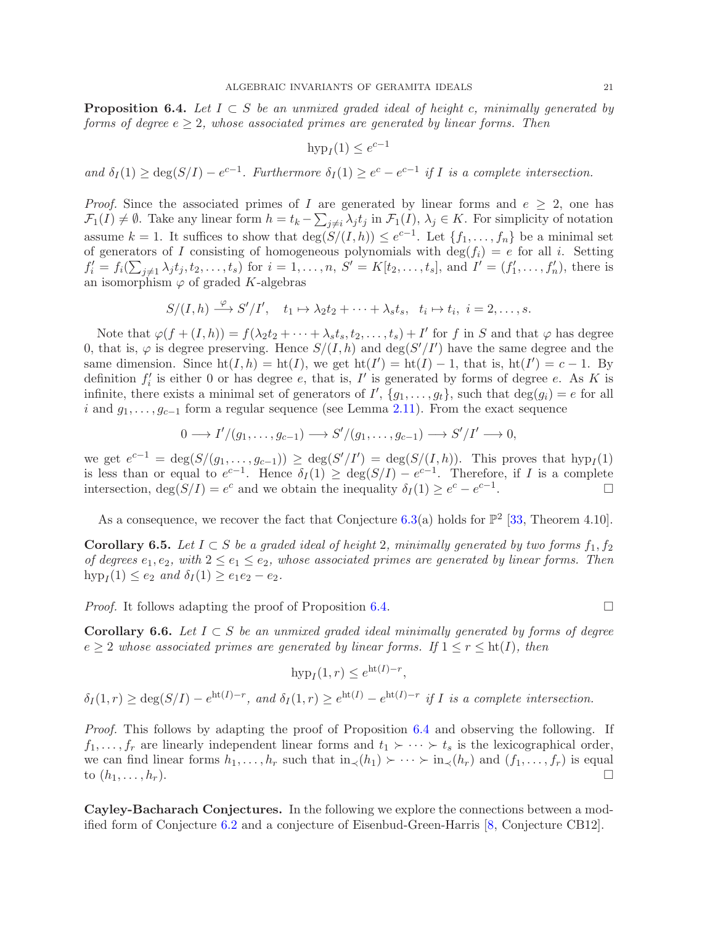<span id="page-20-0"></span>Proposition 6.4. *Let* I ⊂ S *be an unmixed graded ideal of height* c*, minimally generated by forms of degree* e ≥ 2*, whose associated primes are generated by linear forms. Then*

$$
hyp_I(1) \le e^{c-1}
$$

and  $\delta_I(1) \geq \deg(S/I) - e^{c-1}$ . Furthermore  $\delta_I(1) \geq e^c - e^{c-1}$  if I is a complete intersection.

*Proof.* Since the associated primes of I are generated by linear forms and  $e \geq 2$ , one has  $\mathcal{F}_1(I) \neq \emptyset$ . Take any linear form  $h = t_k - \sum_{j \neq i} \lambda_j t_j$  in  $\mathcal{F}_1(I)$ ,  $\lambda_j \in K$ . For simplicity of notation assume k = 1. It suffices to show that  $\deg(S/(I,h)) \leq e^{c-1}$ . Let  $\{f_1, \ldots, f_n\}$  be a minimal set of generators of I consisting of homogeneous polynomials with  $\deg(f_i) = e$  for all i. Setting  $f'_{i} = f_{i}(\sum_{j\neq 1} \lambda_{j}t_{j}, t_{2}, \ldots, t_{s})$  for  $i = 1, \ldots, n$ ,  $S' = K[t_{2}, \ldots, t_{s}]$ , and  $I' = (f'_{1}, \ldots, f'_{n})$ , there is an isomorphism  $\varphi$  of graded K-algebras

$$
S/(I, h) \xrightarrow{\varphi} S'/I', \quad t_1 \mapsto \lambda_2 t_2 + \cdots + \lambda_s t_s, \quad t_i \mapsto t_i, \quad i = 2, \ldots, s.
$$

Note that  $\varphi(f+(I,h))=f(\lambda_2t_2+\cdots+\lambda_s t_s,t_2,\ldots,t_s)+I'$  for f in S and that  $\varphi$  has degree 0, that is,  $\varphi$  is degree preserving. Hence  $S/(I, h)$  and  $\deg(S'/I')$  have the same degree and the same dimension. Since  $\text{ht}(I, h) = \text{ht}(I)$ , we get  $\text{ht}(I') = \text{ht}(I) - 1$ , that is,  $\text{ht}(I') = c - 1$ . By definition  $f_i'$  is either 0 or has degree e, that is,  $I'$  is generated by forms of degree e. As K is infinite, there exists a minimal set of generators of  $I'$ ,  $\{g_1, \ldots, g_t\}$ , such that  $\deg(g_i) = e$  for all i and  $g_1, \ldots, g_{c-1}$  form a regular sequence (see Lemma [2.11\)](#page-6-3). From the exact sequence

$$
0 \longrightarrow I'/(g_1, \dots, g_{c-1}) \longrightarrow S'/(g_1, \dots, g_{c-1}) \longrightarrow S'/I' \longrightarrow 0,
$$

we get  $e^{c-1} = \deg(S/(g_1, ..., g_{c-1})) \ge \deg(S'/I') = \deg(S/(I, h))$ . This proves that  $hyp_I(1)$ is less than or equal to  $e^{c-1}$ . Hence  $\delta_I(1) \geq \deg(S/I) - e^{c-1}$ . Therefore, if I is a complete intersection,  $deg(S/I) = e^c$  and we obtain the inequality  $\delta_I(1) \geq e^c - e^{c-1}$ .<br>.<br>.

As a consequence, we recover the fact that Conjecture [6.3\(](#page-19-3)a) holds for  $\mathbb{P}^2$  [\[33,](#page-25-1) Theorem 4.10].

<span id="page-20-2"></span>Corollary 6.5. Let  $I \subset S$  be a graded ideal of height 2, minimally generated by two forms  $f_1, f_2$ *of degrees*  $e_1, e_2$ , with  $2 \le e_1 \le e_2$ , whose associated primes are generated by linear forms. Then  $hyp_I(1) \le e_2$  and  $\delta_I(1) \ge e_1e_2 - e_2$ .

*Proof.* It follows adapting the proof of Proposition [6.4.](#page-20-0)

<span id="page-20-1"></span>Corollary 6.6. Let  $I \subset S$  be an unmixed graded ideal minimally generated by forms of degree  $e \geq 2$  whose associated primes are generated by linear forms. If  $1 \leq r \leq ht(I)$ , then

$$
hyp_I(1,r) \le e^{ht(I)-r},
$$

 $\delta_I(1,r) \geq \deg(S/I) - e^{\text{ht}(I)-r}$ , and  $\delta_I(1,r) \geq e^{\text{ht}(I)} - e^{\text{ht}(I)-r}$  if I is a complete intersection.

*Proof.* This follows by adapting the proof of Proposition [6.4](#page-20-0) and observing the following. If  $f_1, \ldots, f_r$  are linearly independent linear forms and  $t_1 \succ \cdots \succ t_s$  is the lexicographical order, we can find linear forms  $h_1, \ldots, h_r$  such that  $\text{in}_{\prec}(h_1) \succ \cdots \succ \text{in}_{\prec}(h_r)$  and  $(f_1, \ldots, f_r)$  is equal to  $(h_1, \ldots, h_r)$ . to  $(h_1, \ldots, h_r)$ .

Cayley-Bacharach Conjectures. In the following we explore the connections between a modified form of Conjecture [6.2](#page-19-4) and a conjecture of Eisenbud-Green-Harris [\[8,](#page-24-13) Conjecture CB12].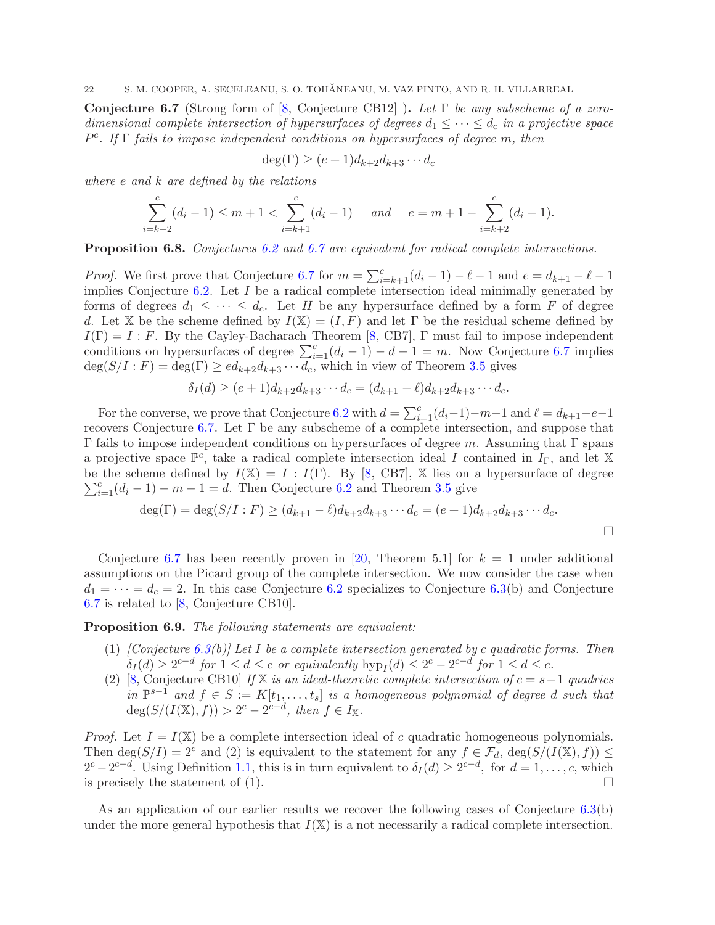<span id="page-21-0"></span>Conjecture 6.7 (Strong form of [\[8,](#page-24-13) Conjecture CB12] ). *Let* Γ *be any subscheme of a zerodimensional complete intersection of hypersurfaces of degrees*  $d_1 \leq \cdots \leq d_c$  *in a projective space* P c *. If* Γ *fails to impose independent conditions on hypersurfaces of degree* m*, then*

$$
\deg(\Gamma) \ge (e+1)d_{k+2}d_{k+3}\cdots d_c
$$

*where* e *and* k *are defined by the relations*

$$
\sum_{i=k+2}^{c} (d_i - 1) \le m + 1 < \sum_{i=k+1}^{c} (d_i - 1) \quad \text{and} \quad e = m + 1 - \sum_{i=k+2}^{c} (d_i - 1).
$$

Proposition 6.8. *Conjectures [6.2](#page-19-4) and [6.7](#page-21-0) are equivalent for radical complete intersections.*

*Proof.* We first prove that Conjecture [6.7](#page-21-0) for  $m = \sum_{i=k+1}^{c} (d_i - 1) - \ell - 1$  and  $e = d_{k+1} - \ell - 1$ implies Conjecture  $6.2$ . Let  $I$  be a radical complete intersection ideal minimally generated by forms of degrees  $d_1 \leq \cdots \leq d_c$ . Let H be any hypersurface defined by a form F of degree d. Let X be the scheme defined by  $I(X) = (I, F)$  and let  $\Gamma$  be the residual scheme defined by  $I(\Gamma) = I : F$ . By the Cayley-Bacharach Theorem [\[8,](#page-24-13) CB7],  $\Gamma$  must fail to impose independent conditions on hypersurfaces of degree  $\sum_{i=1}^{c} (d_i - 1) - d - 1 = m$ . Now Conjecture [6.7](#page-21-0) implies  $\deg(S/I : F) = \deg(\Gamma) \geq ed_{k+2}d_{k+3} \cdots d_c$ , which in view of Theorem [3.5](#page-8-4) gives

$$
\delta_I(d) \ge (e+1)d_{k+2}d_{k+3}\cdots d_c = (d_{k+1}-\ell)d_{k+2}d_{k+3}\cdots d_c.
$$

For the converse, we prove that Conjecture [6.2](#page-19-4) with  $d = \sum_{i=1}^{c} (d_i-1) - m-1$  and  $\ell = d_{k+1}-e-1$ recovers Conjecture [6.7.](#page-21-0) Let  $\Gamma$  be any subscheme of a complete intersection, and suppose that Γ fails to impose independent conditions on hypersurfaces of degree m. Assuming that Γ spans a projective space  $\mathbb{P}^c$ , take a radical complete intersection ideal I contained in  $I_{\Gamma}$ , and let X  $\sum_{i=1}^{c} (d_i - 1) - m - 1 = d$ . Then Conjecture [6.2](#page-19-4) and Theorem [3.5](#page-8-4) give be the scheme defined by  $I(X) = I : I(\Gamma)$ . By [\[8,](#page-24-13) CB7], X lies on a hypersurface of degree

$$
\deg(\Gamma) = \deg(S/I : F) \ge (d_{k+1} - \ell)d_{k+2}d_{k+3} \cdots d_c = (e+1)d_{k+2}d_{k+3} \cdots d_c.
$$

Conjecture [6.7](#page-21-0) has been recently proven in [\[20,](#page-24-28) Theorem 5.1] for  $k = 1$  under additional assumptions on the Picard group of the complete intersection. We now consider the case when  $d_1 = \cdots = d_c = 2$ . In this case Conjecture [6.2](#page-19-4) specializes to Conjecture [6.3\(](#page-19-3)b) and Conjecture [6.7](#page-21-0) is related to [\[8,](#page-24-13) Conjecture CB10].

<span id="page-21-1"></span>Proposition 6.9. *The following statements are equivalent:*

- (1) *[Conjecture [6.3\(](#page-19-3)b)] Let* I *be a complete intersection generated by* c *quadratic forms. Then*  $\delta_I(d) \geq 2^{c-d}$  for  $1 \leq d \leq c$  or equivalently  $hyp_I(d) \leq 2^c - 2^{c-d}$  for  $1 \leq d \leq c$ .
- (2) [\[8,](#page-24-13) Conjecture CB10] *If* X *is an ideal-theoretic complete intersection of* c = s−1 *quadrics in*  $\mathbb{P}^{s-1}$  *and*  $f \in S := K[t_1, \ldots, t_s]$  *is a homogeneous polynomial of degree d such that*  $deg(S/(I(X), f)) > 2<sup>c</sup> - 2<sup>c-d</sup>, then f \in I_X.$

*Proof.* Let  $I = I(\mathbb{X})$  be a complete intersection ideal of c quadratic homogeneous polynomials. Then deg( $S/I$ ) =  $2^c$  and (2) is equivalent to the statement for any  $f \in \mathcal{F}_d$ , deg( $S/(I(\mathbb{X}), f)$ )  $\leq$  $2^{c} - 2^{c-d}$ . Using Definition [1.1,](#page-2-0) this is in turn equivalent to  $\delta_I(d) \geq 2^{c-d}$ , for  $d = 1, \ldots, c$ , which is precisely the statement of (1).  $\Box$ 

As an application of our earlier results we recover the following cases of Conjecture [6.3\(](#page-19-3)b) under the more general hypothesis that  $I(X)$  is a not necessarily a radical complete intersection.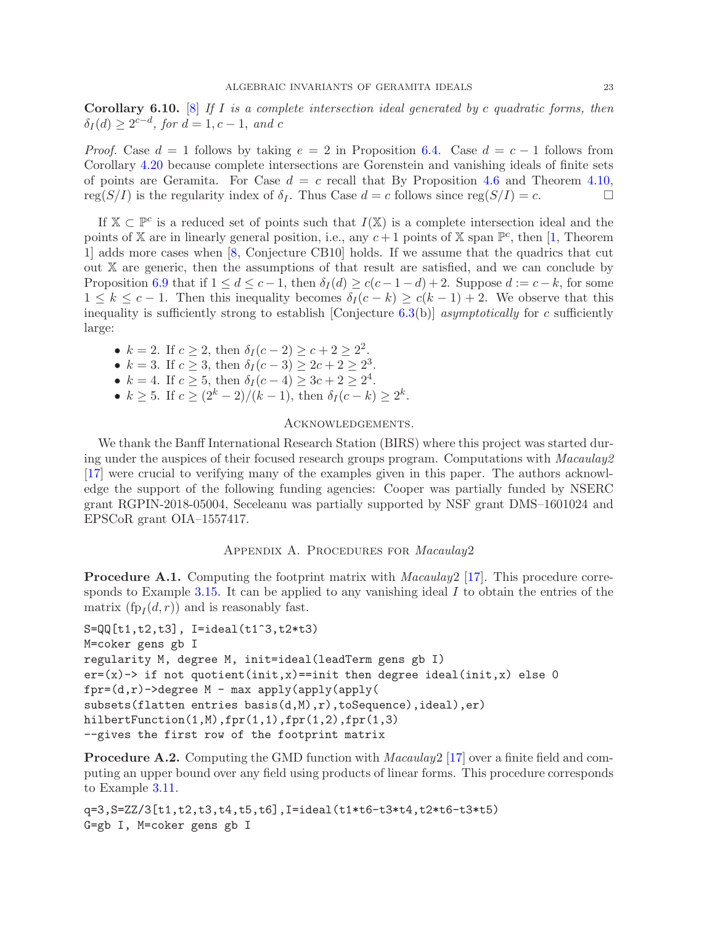Corollary 6.10. [\[8\]](#page-24-13) *If* I *is a complete intersection ideal generated by* c *quadratic forms, then*  $\delta_I(d) \geq 2^{c-d}$ , for  $d = 1, c - 1$ , and c

*Proof.* Case  $d = 1$  follows by taking  $e = 2$  in Proposition [6.4.](#page-20-0) Case  $d = c - 1$  follows from Corollary [4.20](#page-16-1) because complete intersections are Gorenstein and vanishing ideals of finite sets of points are Geramita. For Case  $d = c$  recall that By Proposition [4.6](#page-12-0) and Theorem [4.10,](#page-13-0) reg( $S/I$ ) is the regularity index of  $\delta_I$ . Thus Case  $d = c$  follows since reg( $S/I$ ) = c.

If  $X \subset \mathbb{P}^c$  is a reduced set of points such that  $I(X)$  is a complete intersection ideal and the points of X are in linearly general position, i.e., any  $c+1$  points of X span  $\mathbb{P}^c$ , then [\[1,](#page-24-29) Theorem 1] adds more cases when [\[8,](#page-24-13) Conjecture CB10] holds. If we assume that the quadrics that cut out X are generic, then the assumptions of that result are satisfied, and we can conclude by Proposition [6.9](#page-21-1) that if  $1 \leq d \leq c-1$ , then  $\delta_I(d) \geq c(c-1-d)+2$ . Suppose  $d := c-k$ , for some  $1 \leq k \leq c-1$ . Then this inequality becomes  $\delta_I(c-k) \geq c(k-1)+2$ . We observe that this inequality is sufficiently strong to establish [Conjecture [6.3\(](#page-19-3)b)] *asymptotically* for c sufficiently large:

•  $k = 2$ . If  $c \ge 2$ , then  $\delta_I(c-2) \ge c+2 \ge 2^2$ .

- $k = 3$ . If  $c \ge 3$ , then  $\delta_I(c-3) \ge 2c + 2 \ge 2^3$ .
- $k = 4$ . If  $c \ge 5$ , then  $\delta_I(c-4) \ge 3c+2 \ge 2^4$ .
- $k \ge 5$ . If  $c \ge (2^k 2)/(k 1)$ , then  $\delta_I(c k) \ge 2^k$ .

# Acknowledgements.

We thank the Banff International Research Station (BIRS) where this project was started during under the auspices of their focused research groups program. Computations with *Macaulay2* [\[17\]](#page-24-10) were crucial to verifying many of the examples given in this paper. The authors acknowledge the support of the following funding agencies: Cooper was partially funded by NSERC grant RGPIN-2018-05004, Seceleanu was partially supported by NSF grant DMS–1601024 and EPSCoR grant OIA–1557417.

# Appendix A. Procedures for *Macaulay*2

<span id="page-22-1"></span>Procedure A.1. Computing the footprint matrix with *Macaulay*2 [\[17\]](#page-24-10). This procedure corre-sponds to Example [3.15.](#page-10-3) It can be applied to any vanishing ideal  $I$  to obtain the entries of the matrix  $(\text{fp}_I(d, r))$  and is reasonably fast.

```
S=QQ[t1,t2,t3], I=ideal(t1^3,t2*t3)
M=coker gens gb I
regularity M, degree M, init=ideal(leadTerm gens gb I)
er=(x)-> if not quotient(init,x)==init then degree ideal(init,x) else 0
fpr=(d,r)-3degree M - max apply(apply(apply(
subsets(flatten entries basis(d,M),r),toSequence),ideal),er)
hilbertFunction(1,M),fpr(1,1),fpr(1,2),fpr(1,3)--gives the first row of the footprint matrix
```
<span id="page-22-0"></span>Procedure A.2. Computing the GMD function with *Macaulay*2 [\[17\]](#page-24-10) over a finite field and computing an upper bound over any field using products of linear forms. This procedure corresponds to Example [3.11.](#page-10-4)

```
q=3,S=ZZ/3[t1,t2,t3,t4,t5,t6],I=ideal(t1*t6-t3*t4,t2*t6-t3*t5)
G=gb I, M=coker gens gb I
```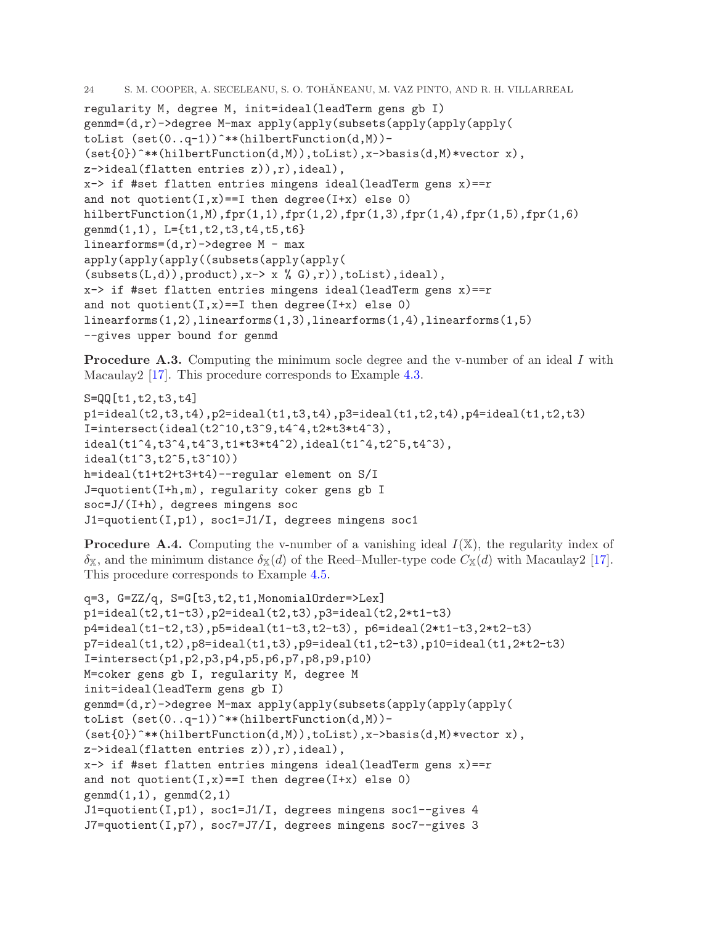```
24 S. M. COOPER, A. SECELEANU, S. O. TOHANEANU, M. VAZ PINTO, AND R. H. VILLARREAL ˘
regularity M, degree M, init=ideal(leadTerm gens gb I)
genmd=(d,r)->degree M-max apply(apply(subsets(apply(apply(apply(
toList (set(0..q-1))^**(hilbertFunction(d,M))-
(\text{set}\{0\})^***(hilbertFunction(d,M)),toList),x->basis(d,M)*vector x),
z->ideal(flatten entries z)),r),ideal),
x \rightarrow if #set flatten entries mingens ideal(leadTerm gens x) == r
and not quotient(I, x) == I then degree(I + x) else 0)
hilbertFunction(1,M),fpr(1,1),fpr(1,2),fpr(1,3),fpr(1,4),fpr(1,5),fpr(1,6)
genmd(1,1), L={t1,t2,t3,t4,t5,t6}
linearforms=(d, r)->degree M - max
apply(apply(apply((subsets(apply(apply(
(subsets(L,d)), product), x \rightarrow x (0, c), r), toList), ideal),
x \rightarrow if #set flatten entries mingens ideal(leadTerm gens x) == rand not quotient(I, x) == I then degree(I+x) else 0)
linearforms(1,2),linearforms(1,3),linearforms(1,4),linearforms(1,5)
--gives upper bound for genmd
```
<span id="page-23-0"></span>**Procedure A.3.** Computing the minimum socle degree and the v-number of an ideal I with Macaulay2 [\[17\]](#page-24-10). This procedure corresponds to Example [4.3.](#page-11-2)

```
S=QQ[t1,t2,t3,t4]
p1 = ideal(t2, t3, t4), p2 = ideal(t1, t3, t4), p3 = ideal(t1, t2, t4), p4 = ideal(t1, t2, t3)I=intersect(ideal(t2^10,t3^9,t4^4,t2*t3*t4^3),
ideal(t1^4,t3^4,t4^3,t1*t3*t4^2),ideal(t1^4,t2^5,t4^3),
ideal(t1^3,t2^5,t3^10))
h=ideal(t1+t2+t3+t4)--regular element on S/I
J=quotient(I+h,m), regularity coker gens gb I
soc=J/(I+h), degrees mingens soc
J1=quotient(I,p1), soc1=J1/I, degrees mingens soc1
```
<span id="page-23-1"></span>**Procedure A.4.** Computing the v-number of a vanishing ideal  $I(X)$ , the regularity index of  $\delta_{\mathbb{X}}$ , and the minimum distance  $\delta_{\mathbb{X}}(d)$  of the Reed–Muller-type code  $C_{\mathbb{X}}(d)$  with Macaulay 2[17]. This procedure corresponds to Example [4.5.](#page-12-1)

```
q=3, G=ZZ/q, S=G[t3,t2,t1,MonomialOrder=>Lex]
p1=ideal(t2,t1-t3),p2=ideal(t2,t3),p3=ideal(t2,2*t1-t3)
p4=ideal(t1-t2,t3),p5=ideal(t1-t3,t2-t3), p6=ideal(2*t1-t3,2*t2-t3)
p7 = ideal(t1, t2),p8 = ideal(t1, t3),p9 = ideal(t1, t2-t3),p10 = ideal(t1, 2*t2-t3)I=intersect(p1,p2,p3,p4,p5,p6,p7,p8,p9,p10)
M=coker gens gb I, regularity M, degree M
init=ideal(leadTerm gens gb I)
genmd=(d,r)->degree M-max apply(apply(subsets(apply(apply(apply(
toList (set(0..q-1))^**(hilbertFunction(d,M))-
(set{0})^***(hilbertFunction(d,M)),toList),x->basis(d,M)*vector x),
z->ideal(flatten entries z)),r),ideal),
x \rightarrow if #set flatten entries mingens ideal(leadTerm gens x) == r
and not quotient(I, x) == I then degree(I+x) else 0)
\text{gennd}(1,1), \text{gennd}(2,1)J1=quotient(I,p1), soc1=J1/I, degrees mingens soc1--gives 4
J7=quotient(I,p7), soc7=J7/I, degrees mingens soc7--gives 3
```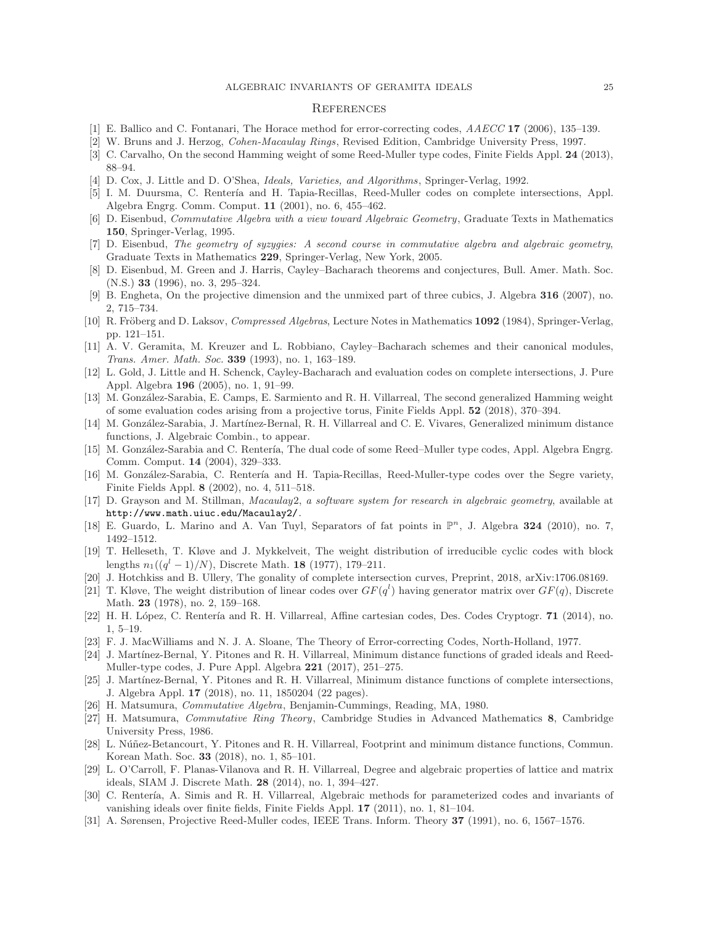#### **REFERENCES**

- <span id="page-24-29"></span><span id="page-24-27"></span>[1] E. Ballico and C. Fontanari, The Horace method for error-correcting codes, *AAECC* 17 (2006), 135–139.
- <span id="page-24-21"></span>[2] W. Bruns and J. Herzog, *Cohen-Macaulay Rings*, Revised Edition, Cambridge University Press, 1997.
- <span id="page-24-14"></span>[3] C. Carvalho, On the second Hamming weight of some Reed-Muller type codes, Finite Fields Appl. 24 (2013), 88–94.
- <span id="page-24-2"></span>[4] D. Cox, J. Little and D. O'Shea, *Ideals, Varieties, and Algorithms*, Springer-Verlag, 1992.
- <span id="page-24-15"></span>[5] I. M. Duursma, C. Rentería and H. Tapia-Recillas, Reed-Muller codes on complete intersections, Appl. Algebra Engrg. Comm. Comput. 11 (2001), no. 6, 455–462.
- [6] D. Eisenbud, *Commutative Algebra with a view toward Algebraic Geometry*, Graduate Texts in Mathematics 150, Springer-Verlag, 1995.
- <span id="page-24-19"></span>[7] D. Eisenbud, *The geometry of syzygies: A second course in commutative algebra and algebraic geometry*, Graduate Texts in Mathematics 229, Springer-Verlag, New York, 2005.
- <span id="page-24-13"></span>[8] D. Eisenbud, M. Green and J. Harris, Cayley–Bacharach theorems and conjectures, Bull. Amer. Math. Soc.  $(N.S.)$  33  $(1996)$ , no. 3, 295–324.
- <span id="page-24-20"></span>[9] B. Engheta, On the projective dimension and the unmixed part of three cubics, J. Algebra 316 (2007), no. 2, 715–734.
- [10] R. Fröberg and D. Laksov, *Compressed Algebras*, Lecture Notes in Mathematics 1092 (1984), Springer-Verlag, pp. 121–151.
- <span id="page-24-11"></span>[11] A. V. Geramita, M. Kreuzer and L. Robbiano, Cayley–Bacharach schemes and their canonical modules, *Trans. Amer. Math. Soc.* 339 (1993), no. 1, 163–189.
- <span id="page-24-3"></span>[12] L. Gold, J. Little and H. Schenck, Cayley-Bacharach and evaluation codes on complete intersections, J. Pure Appl. Algebra 196 (2005), no. 1, 91–99.
- <span id="page-24-12"></span>[13] M. González-Sarabia, E. Camps, E. Sarmiento and R. H. Villarreal, The second generalized Hamming weight of some evaluation codes arising from a projective torus, Finite Fields Appl. 52 (2018), 370–394.
- <span id="page-24-5"></span>[14] M. González-Sarabia, J. Martínez-Bernal, R. H. Villarreal and C. E. Vivares, Generalized minimum distance functions, J. Algebraic Combin., to appear.
- <span id="page-24-26"></span>[15] M. González-Sarabia and C. Rentería, The dual code of some Reed–Muller type codes, Appl. Algebra Engrg. Comm. Comput. 14 (2004), 329–333.
- <span id="page-24-4"></span>[16] M. González-Sarabia, C. Rentería and H. Tapia-Recillas, Reed-Muller-type codes over the Segre variety, Finite Fields Appl. 8 (2002), no. 4, 511–518.
- <span id="page-24-10"></span>[17] D. Grayson and M. Stillman, *Macaulay*2, *a software system for research in algebraic geometry*, available at <http://www.math.uiuc.edu/Macaulay2/>.
- <span id="page-24-23"></span>[18] E. Guardo, L. Marino and A. Van Tuyl, Separators of fat points in  $\mathbb{P}^n$ , J. Algebra 324 (2010), no. 7, 1492–1512.
- <span id="page-24-0"></span>[19] T. Helleseth, T. Kløve and J. Mykkelveit, The weight distribution of irreducible cyclic codes with block lengths  $n_1((q^l - 1)/N)$ , Discrete Math. 18 (1977), 179–211.
- <span id="page-24-28"></span><span id="page-24-1"></span>[20] J. Hotchkiss and B. Ullery, The gonality of complete intersection curves, Preprint, 2018, arXiv:1706.08169.
- [21] T. Kløve, The weight distribution of linear codes over  $GF(q^l)$  having generator matrix over  $GF(q)$ , Discrete Math. 23 (1978), no. 2, 159–168.
- <span id="page-24-24"></span>[22] H. H. López, C. Rentería and R. H. Villarreal, Affine cartesian codes, Des. Codes Cryptogr. 71 (2014), no. 1, 5–19.
- <span id="page-24-17"></span><span id="page-24-6"></span>[23] F. J. MacWilliams and N. J. A. Sloane, The Theory of Error-correcting Codes, North-Holland, 1977.
- [24] J. Martínez-Bernal, Y. Pitones and R. H. Villarreal, Minimum distance functions of graded ideals and Reed-Muller-type codes, J. Pure Appl. Algebra 221 (2017), 251–275.
- <span id="page-24-8"></span>[25] J. Martínez-Bernal, Y. Pitones and R. H. Villarreal, Minimum distance functions of complete intersections, J. Algebra Appl. 17 (2018), no. 11, 1850204 (22 pages).
- <span id="page-24-22"></span><span id="page-24-16"></span>[26] H. Matsumura, *Commutative Algebra*, Benjamin-Cummings, Reading, MA, 1980.
- [27] H. Matsumura, *Commutative Ring Theory*, Cambridge Studies in Advanced Mathematics 8, Cambridge University Press, 1986.
- <span id="page-24-7"></span>[28] L. Núñez-Betancourt, Y. Pitones and R. H. Villarreal, Footprint and minimum distance functions, Commun. Korean Math. Soc. 33 (2018), no. 1, 85–101.
- <span id="page-24-18"></span>[29] L. O'Carroll, F. Planas-Vilanova and R. H. Villarreal, Degree and algebraic properties of lattice and matrix ideals, SIAM J. Discrete Math. 28 (2014), no. 1, 394–427.
- <span id="page-24-9"></span>[30] C. Rentería, A. Simis and R. H. Villarreal, Algebraic methods for parameterized codes and invariants of vanishing ideals over finite fields, Finite Fields Appl. 17 (2011), no. 1, 81–104.
- <span id="page-24-25"></span>[31] A. Sørensen, Projective Reed-Muller codes, IEEE Trans. Inform. Theory 37 (1991), no. 6, 1567–1576.